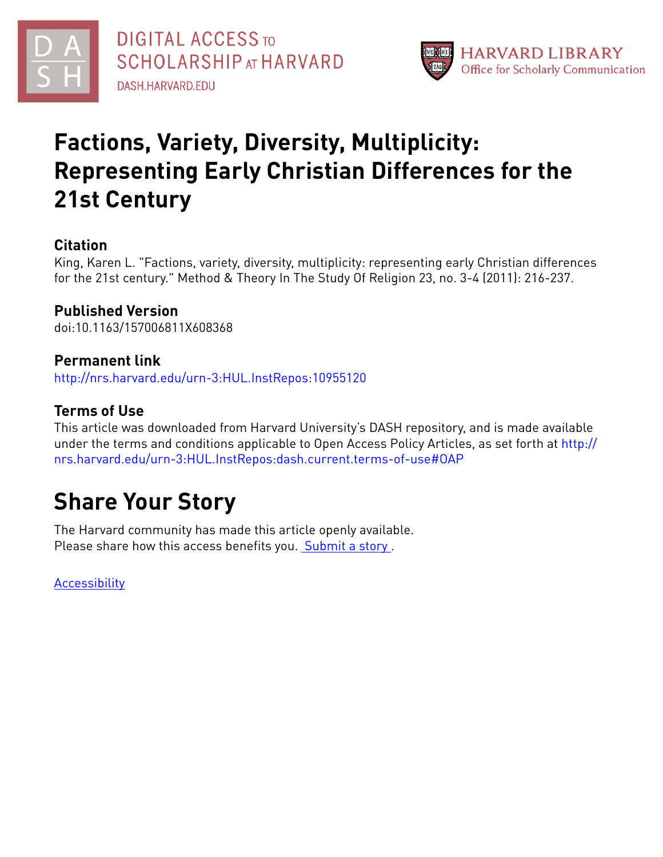



## **Factions, Variety, Diversity, Multiplicity: Representing Early Christian Differences for the 21st Century**

### **Citation**

King, Karen L. "Factions, variety, diversity, multiplicity: representing early Christian differences for the 21st century." Method & Theory In The Study Of Religion 23, no. 3-4 (2011): 216-237.

### **Published Version**

doi:10.1163/157006811X608368

### **Permanent link**

<http://nrs.harvard.edu/urn-3:HUL.InstRepos:10955120>

#### **Terms of Use**

This article was downloaded from Harvard University's DASH repository, and is made available under the terms and conditions applicable to Open Access Policy Articles, as set forth at [http://](http://nrs.harvard.edu/urn-3:HUL.InstRepos:dash.current.terms-of-use#OAP) [nrs.harvard.edu/urn-3:HUL.InstRepos:dash.current.terms-of-use#OAP](http://nrs.harvard.edu/urn-3:HUL.InstRepos:dash.current.terms-of-use#OAP)

# **Share Your Story**

The Harvard community has made this article openly available. Please share how this access benefits you. [Submit](http://osc.hul.harvard.edu/dash/open-access-feedback?handle=&title=Factions,%20Variety,%20Diversity,%20Multiplicity:%20Representing%20Early%20Christian%20Differences%20for%20the%2021st%20Century&community=1/3345931&collection=1/3345932&owningCollection1/3345932&harvardAuthors=66639b14343289977a3afe4f5da2f58a&department) a story.

**[Accessibility](https://dash.harvard.edu/pages/accessibility)**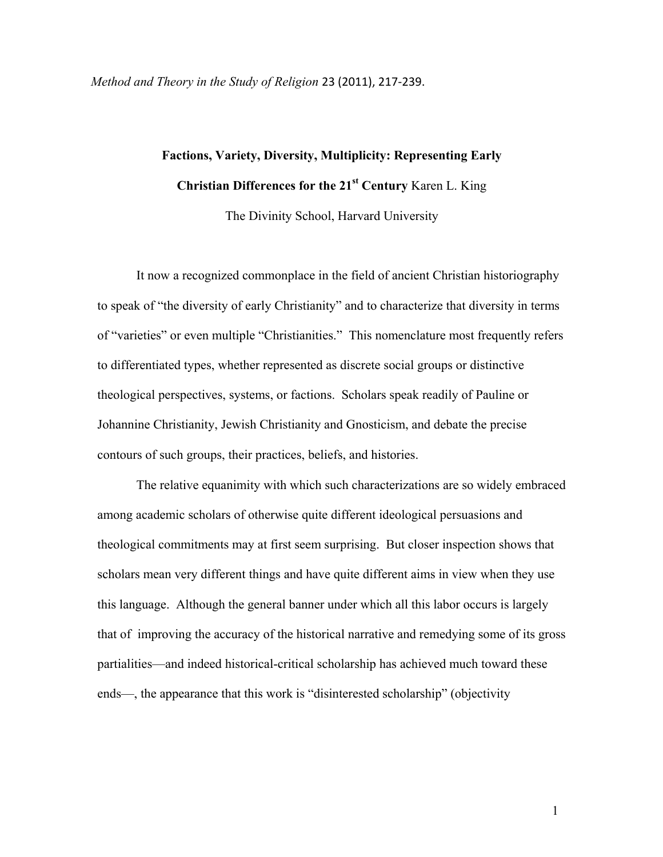### **Factions, Variety, Diversity, Multiplicity: Representing Early Christian Differences for the 21st Century** Karen L. King

The Divinity School, Harvard University

It now a recognized commonplace in the field of ancient Christian historiography to speak of "the diversity of early Christianity" and to characterize that diversity in terms of "varieties" or even multiple "Christianities." This nomenclature most frequently refers to differentiated types, whether represented as discrete social groups or distinctive theological perspectives, systems, or factions. Scholars speak readily of Pauline or Johannine Christianity, Jewish Christianity and Gnosticism, and debate the precise contours of such groups, their practices, beliefs, and histories.

The relative equanimity with which such characterizations are so widely embraced among academic scholars of otherwise quite different ideological persuasions and theological commitments may at first seem surprising. But closer inspection shows that scholars mean very different things and have quite different aims in view when they use this language. Although the general banner under which all this labor occurs is largely that of improving the accuracy of the historical narrative and remedying some of its gross partialities—and indeed historical-critical scholarship has achieved much toward these ends—, the appearance that this work is "disinterested scholarship" (objectivity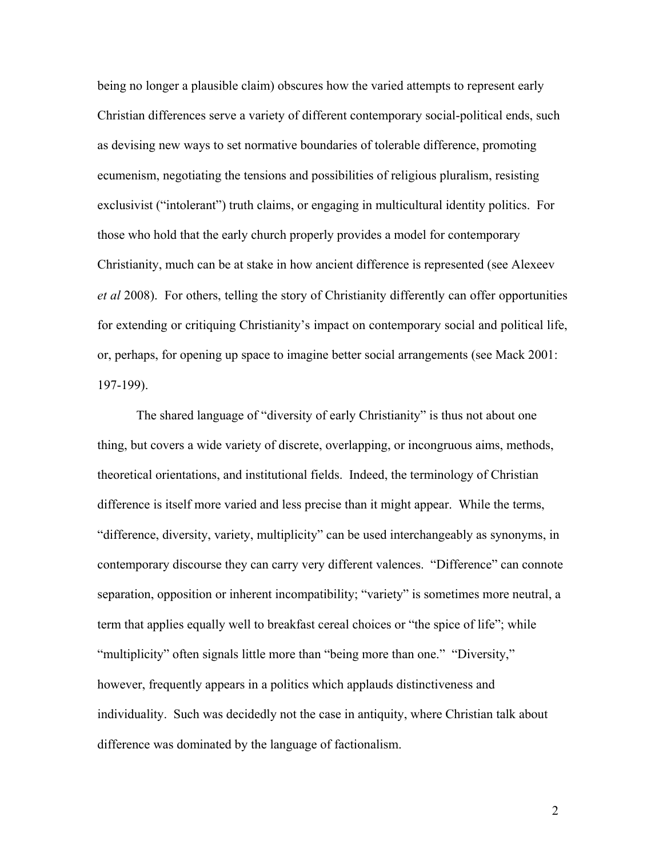being no longer a plausible claim) obscures how the varied attempts to represent early Christian differences serve a variety of different contemporary social-political ends, such as devising new ways to set normative boundaries of tolerable difference, promoting ecumenism, negotiating the tensions and possibilities of religious pluralism, resisting exclusivist ("intolerant") truth claims, or engaging in multicultural identity politics. For those who hold that the early church properly provides a model for contemporary Christianity, much can be at stake in how ancient difference is represented (see Alexeev *et al* 2008). For others, telling the story of Christianity differently can offer opportunities for extending or critiquing Christianity's impact on contemporary social and political life, or, perhaps, for opening up space to imagine better social arrangements (see Mack 2001: 197-199).

The shared language of "diversity of early Christianity" is thus not about one thing, but covers a wide variety of discrete, overlapping, or incongruous aims, methods, theoretical orientations, and institutional fields. Indeed, the terminology of Christian difference is itself more varied and less precise than it might appear. While the terms, "difference, diversity, variety, multiplicity" can be used interchangeably as synonyms, in contemporary discourse they can carry very different valences. "Difference" can connote separation, opposition or inherent incompatibility; "variety" is sometimes more neutral, a term that applies equally well to breakfast cereal choices or "the spice of life"; while "multiplicity" often signals little more than "being more than one." "Diversity," however, frequently appears in a politics which applauds distinctiveness and individuality. Such was decidedly not the case in antiquity, where Christian talk about difference was dominated by the language of factionalism.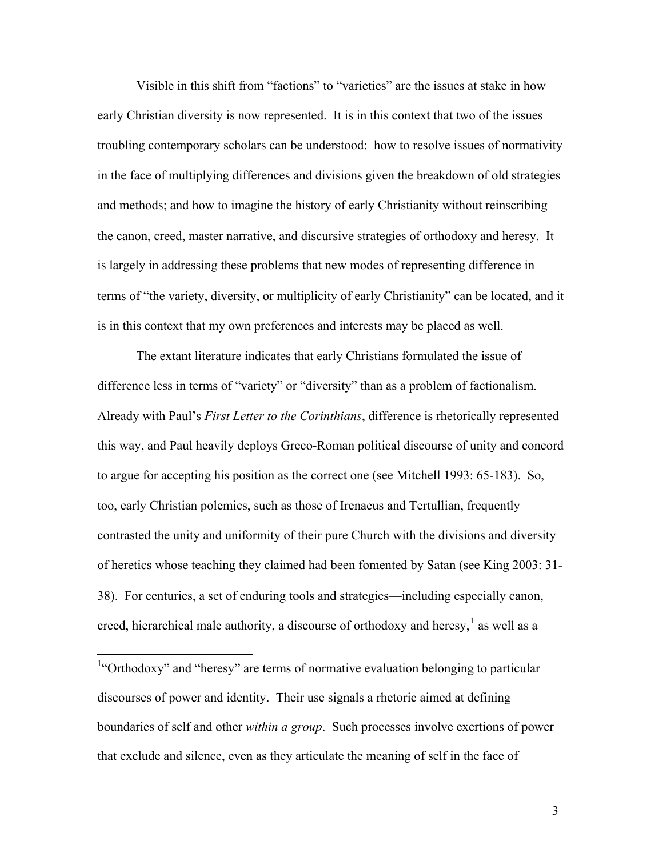Visible in this shift from "factions" to "varieties" are the issues at stake in how early Christian diversity is now represented. It is in this context that two of the issues troubling contemporary scholars can be understood: how to resolve issues of normativity in the face of multiplying differences and divisions given the breakdown of old strategies and methods; and how to imagine the history of early Christianity without reinscribing the canon, creed, master narrative, and discursive strategies of orthodoxy and heresy. It is largely in addressing these problems that new modes of representing difference in terms of "the variety, diversity, or multiplicity of early Christianity" can be located, and it is in this context that my own preferences and interests may be placed as well.

The extant literature indicates that early Christians formulated the issue of difference less in terms of "variety" or "diversity" than as a problem of factionalism. Already with Paul's *First Letter to the Corinthians*, difference is rhetorically represented this way, and Paul heavily deploys Greco-Roman political discourse of unity and concord to argue for accepting his position as the correct one (see Mitchell 1993: 65-183). So, too, early Christian polemics, such as those of Irenaeus and Tertullian, frequently contrasted the unity and uniformity of their pure Church with the divisions and diversity of heretics whose teaching they claimed had been fomented by Satan (see King 2003: 31- 38). For centuries, a set of enduring tools and strategies—including especially canon, creed, hierarchical male authority, a discourse of orthodoxy and heresy,  $\frac{1}{1}$  as well as a

<sup>&</sup>lt;sup>1</sup>"Orthodoxy" and "heresy" are terms of normative evaluation belonging to particular discourses of power and identity. Their use signals a rhetoric aimed at defining boundaries of self and other *within a group*. Such processes involve exertions of power that exclude and silence, even as they articulate the meaning of self in the face of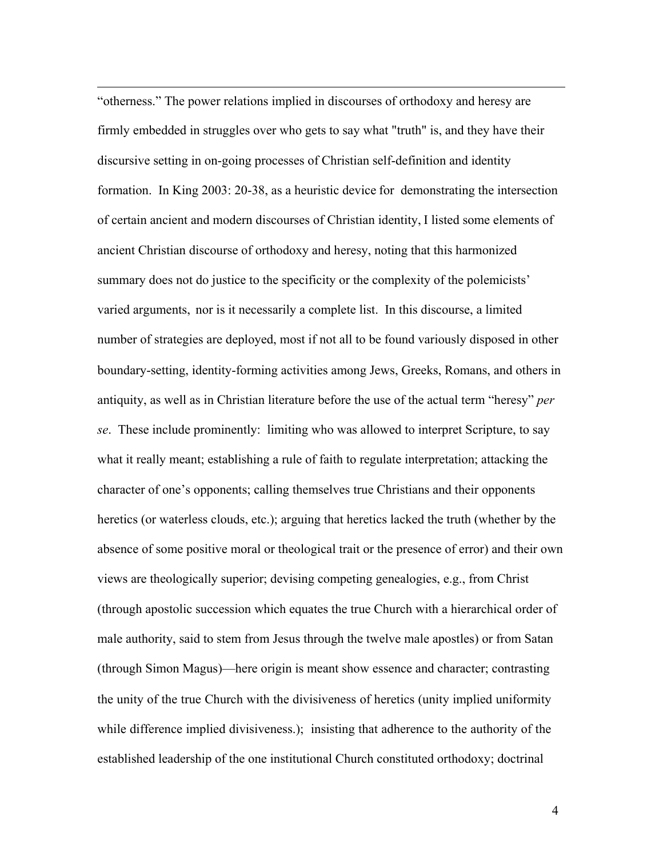"otherness." The power relations implied in discourses of orthodoxy and heresy are firmly embedded in struggles over who gets to say what "truth" is, and they have their discursive setting in on-going processes of Christian self-definition and identity formation. In King 2003: 20-38, as a heuristic device for demonstrating the intersection of certain ancient and modern discourses of Christian identity, I listed some elements of ancient Christian discourse of orthodoxy and heresy, noting that this harmonized summary does not do justice to the specificity or the complexity of the polemicists' varied arguments, nor is it necessarily a complete list. In this discourse, a limited number of strategies are deployed, most if not all to be found variously disposed in other boundary-setting, identity-forming activities among Jews, Greeks, Romans, and others in antiquity, as well as in Christian literature before the use of the actual term "heresy" *per se*. These include prominently: limiting who was allowed to interpret Scripture, to say what it really meant; establishing a rule of faith to regulate interpretation; attacking the character of one's opponents; calling themselves true Christians and their opponents heretics (or waterless clouds, etc.); arguing that heretics lacked the truth (whether by the absence of some positive moral or theological trait or the presence of error) and their own views are theologically superior; devising competing genealogies, e.g., from Christ (through apostolic succession which equates the true Church with a hierarchical order of male authority, said to stem from Jesus through the twelve male apostles) or from Satan (through Simon Magus)—here origin is meant show essence and character; contrasting the unity of the true Church with the divisiveness of heretics (unity implied uniformity while difference implied divisiveness.); insisting that adherence to the authority of the established leadership of the one institutional Church constituted orthodoxy; doctrinal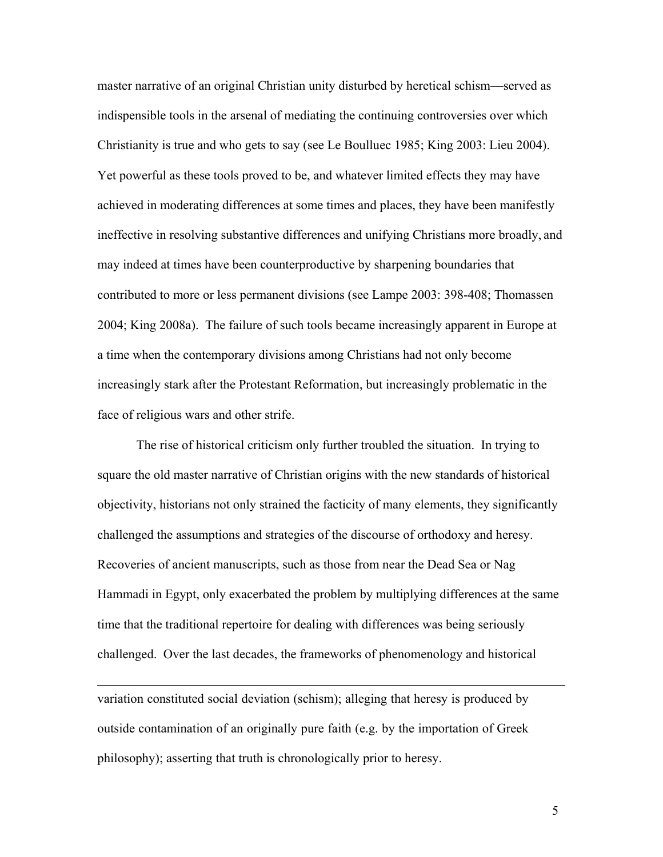master narrative of an original Christian unity disturbed by heretical schism—served as indispensible tools in the arsenal of mediating the continuing controversies over which Christianity is true and who gets to say (see Le Boulluec 1985; King 2003: Lieu 2004). Yet powerful as these tools proved to be, and whatever limited effects they may have achieved in moderating differences at some times and places, they have been manifestly ineffective in resolving substantive differences and unifying Christians more broadly, and may indeed at times have been counterproductive by sharpening boundaries that contributed to more or less permanent divisions (see Lampe 2003: 398-408; Thomassen 2004; King 2008a). The failure of such tools became increasingly apparent in Europe at a time when the contemporary divisions among Christians had not only become increasingly stark after the Protestant Reformation, but increasingly problematic in the face of religious wars and other strife.

The rise of historical criticism only further troubled the situation. In trying to square the old master narrative of Christian origins with the new standards of historical objectivity, historians not only strained the facticity of many elements, they significantly challenged the assumptions and strategies of the discourse of orthodoxy and heresy. Recoveries of ancient manuscripts, such as those from near the Dead Sea or Nag Hammadi in Egypt, only exacerbated the problem by multiplying differences at the same time that the traditional repertoire for dealing with differences was being seriously challenged. Over the last decades, the frameworks of phenomenology and historical

variation constituted social deviation (schism); alleging that heresy is produced by outside contamination of an originally pure faith (e.g. by the importation of Greek philosophy); asserting that truth is chronologically prior to heresy.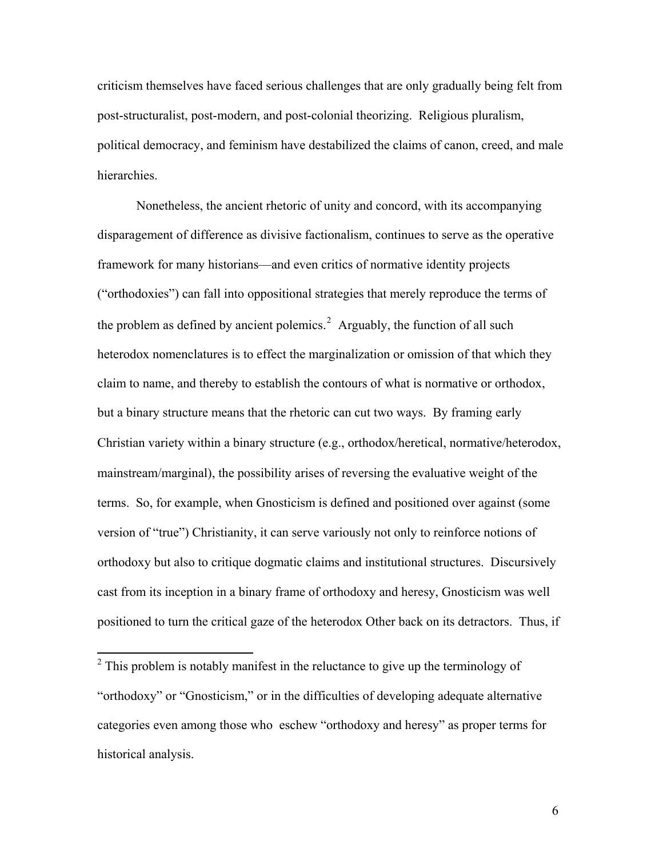criticism themselves have faced serious challenges that are only gradually being felt from post-structuralist, post-modern, and post-colonial theorizing. Religious pluralism, political democracy, and feminism have destabilized the claims of canon, creed, and male hierarchies.

Nonetheless, the ancient rhetoric of unity and concord, with its accompanying disparagement of difference as divisive factionalism, continues to serve as the operative framework for many historians—and even critics of normative identity projects ("orthodoxies") can fall into oppositional strategies that merely reproduce the terms of the problem as defined by ancient polemics.<sup>2</sup> Arguably, the function of all such heterodox nomenclatures is to effect the marginalization or omission of that which they claim to name, and thereby to establish the contours of what is normative or orthodox, but a binary structure means that the rhetoric can cut two ways. By framing early Christian variety within a binary structure (e.g., orthodox/heretical, normative/heterodox, mainstream/marginal), the possibility arises of reversing the evaluative weight of the terms. So, for example, when Gnosticism is defined and positioned over against (some version of "true") Christianity, it can serve variously not only to reinforce notions of orthodoxy but also to critique dogmatic claims and institutional structures. Discursively cast from its inception in a binary frame of orthodoxy and heresy, Gnosticism was well positioned to turn the critical gaze of the heterodox Other back on its detractors. Thus, if

 $2$ . This problem is notably manifest in the reluctance to give up the terminology of "orthodoxy" or "Gnosticism," or in the difficulties of developing adequate alternative categories even among those who eschew "orthodoxy and heresy" as proper terms for historical analysis.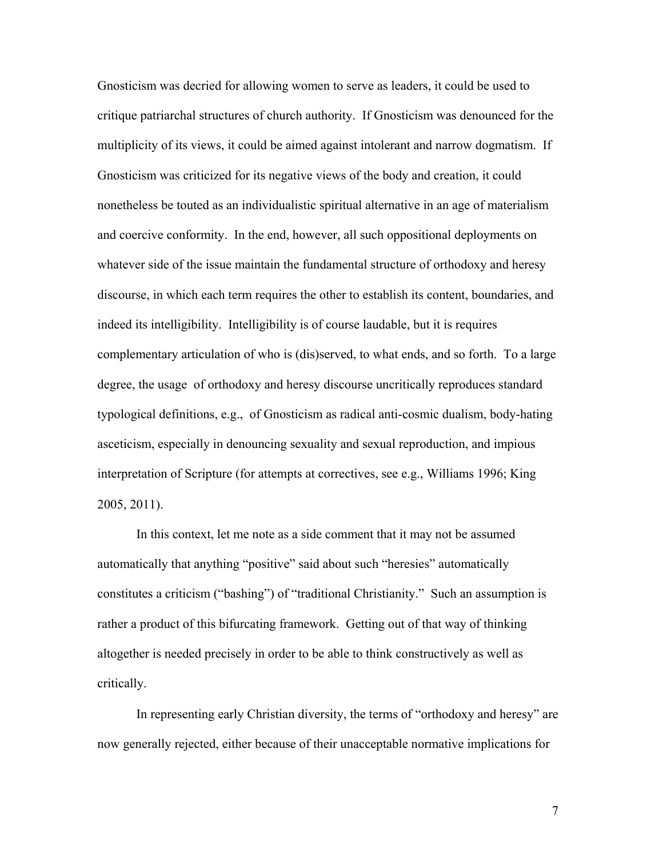Gnosticism was decried for allowing women to serve as leaders, it could be used to critique patriarchal structures of church authority. If Gnosticism was denounced for the multiplicity of its views, it could be aimed against intolerant and narrow dogmatism. If Gnosticism was criticized for its negative views of the body and creation, it could nonetheless be touted as an individualistic spiritual alternative in an age of materialism and coercive conformity. In the end, however, all such oppositional deployments on whatever side of the issue maintain the fundamental structure of orthodoxy and heresy discourse, in which each term requires the other to establish its content, boundaries, and indeed its intelligibility. Intelligibility is of course laudable, but it is requires complementary articulation of who is (dis)served, to what ends, and so forth. To a large degree, the usage of orthodoxy and heresy discourse uncritically reproduces standard typological definitions, e.g., of Gnosticism as radical anti-cosmic dualism, body-hating asceticism, especially in denouncing sexuality and sexual reproduction, and impious interpretation of Scripture (for attempts at correctives, see e.g., Williams 1996; King 2005, 2011).

In this context, let me note as a side comment that it may not be assumed automatically that anything "positive" said about such "heresies" automatically constitutes a criticism ("bashing") of "traditional Christianity." Such an assumption is rather a product of this bifurcating framework. Getting out of that way of thinking altogether is needed precisely in order to be able to think constructively as well as critically.

In representing early Christian diversity, the terms of "orthodoxy and heresy" are now generally rejected, either because of their unacceptable normative implications for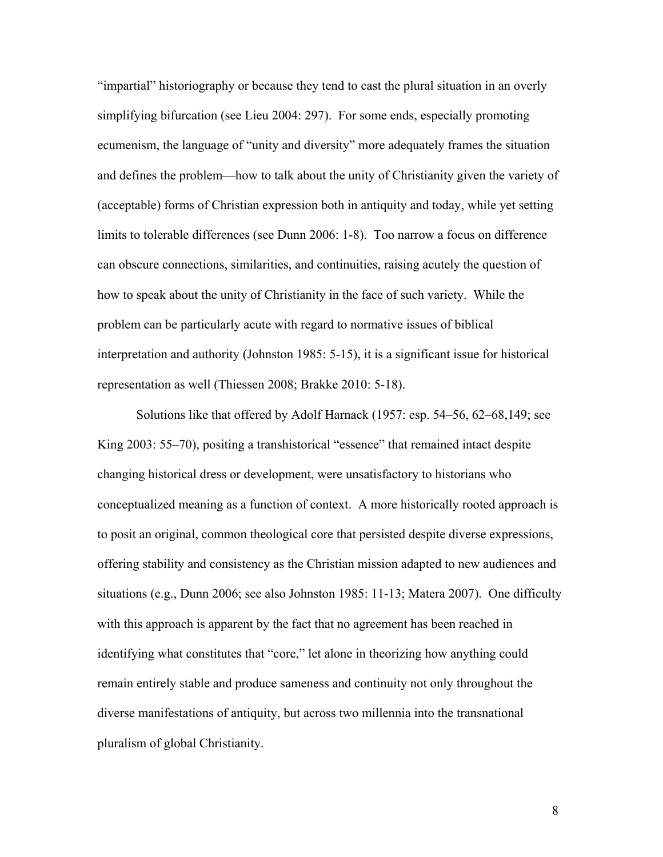"impartial" historiography or because they tend to cast the plural situation in an overly simplifying bifurcation (see Lieu 2004: 297). For some ends, especially promoting ecumenism, the language of "unity and diversity" more adequately frames the situation and defines the problem—how to talk about the unity of Christianity given the variety of (acceptable) forms of Christian expression both in antiquity and today, while yet setting limits to tolerable differences (see Dunn 2006: 1-8). Too narrow a focus on difference can obscure connections, similarities, and continuities, raising acutely the question of how to speak about the unity of Christianity in the face of such variety. While the problem can be particularly acute with regard to normative issues of biblical interpretation and authority (Johnston 1985: 5-15), it is a significant issue for historical representation as well (Thiessen 2008; Brakke 2010: 5-18).

Solutions like that offered by Adolf Harnack (1957: esp. 54–56, 62–68,149; see King 2003: 55–70), positing a transhistorical "essence" that remained intact despite changing historical dress or development, were unsatisfactory to historians who conceptualized meaning as a function of context. A more historically rooted approach is to posit an original, common theological core that persisted despite diverse expressions, offering stability and consistency as the Christian mission adapted to new audiences and situations (e.g., Dunn 2006; see also Johnston 1985: 11-13; Matera 2007). One difficulty with this approach is apparent by the fact that no agreement has been reached in identifying what constitutes that "core," let alone in theorizing how anything could remain entirely stable and produce sameness and continuity not only throughout the diverse manifestations of antiquity, but across two millennia into the transnational pluralism of global Christianity.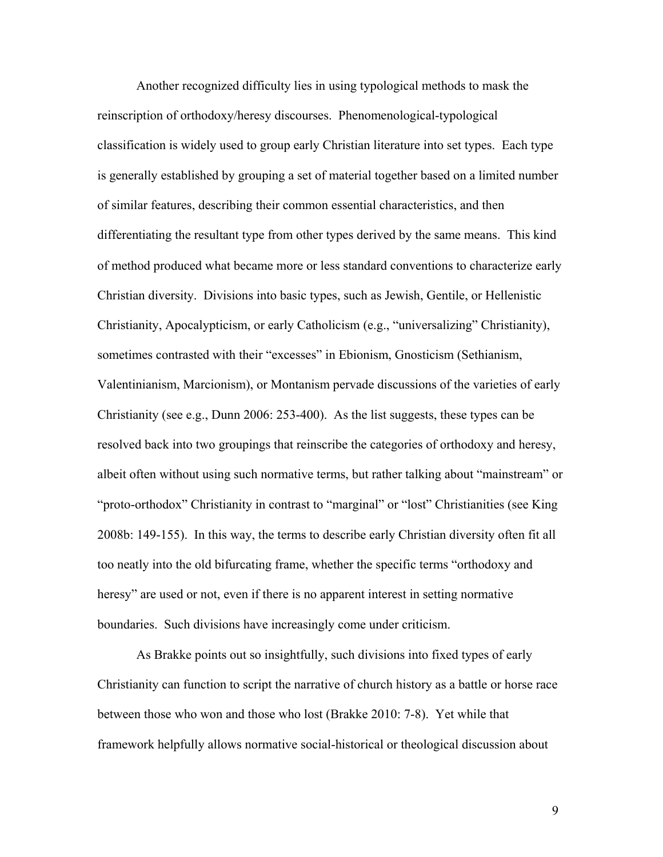Another recognized difficulty lies in using typological methods to mask the reinscription of orthodoxy/heresy discourses. Phenomenological-typological classification is widely used to group early Christian literature into set types. Each type is generally established by grouping a set of material together based on a limited number of similar features, describing their common essential characteristics, and then differentiating the resultant type from other types derived by the same means. This kind of method produced what became more or less standard conventions to characterize early Christian diversity. Divisions into basic types, such as Jewish, Gentile, or Hellenistic Christianity, Apocalypticism, or early Catholicism (e.g., "universalizing" Christianity), sometimes contrasted with their "excesses" in Ebionism, Gnosticism (Sethianism, Valentinianism, Marcionism), or Montanism pervade discussions of the varieties of early Christianity (see e.g., Dunn 2006: 253-400). As the list suggests, these types can be resolved back into two groupings that reinscribe the categories of orthodoxy and heresy, albeit often without using such normative terms, but rather talking about "mainstream" or "proto-orthodox" Christianity in contrast to "marginal" or "lost" Christianities (see King 2008b: 149-155). In this way, the terms to describe early Christian diversity often fit all too neatly into the old bifurcating frame, whether the specific terms "orthodoxy and heresy" are used or not, even if there is no apparent interest in setting normative boundaries. Such divisions have increasingly come under criticism.

As Brakke points out so insightfully, such divisions into fixed types of early Christianity can function to script the narrative of church history as a battle or horse race between those who won and those who lost (Brakke 2010: 7-8). Yet while that framework helpfully allows normative social-historical or theological discussion about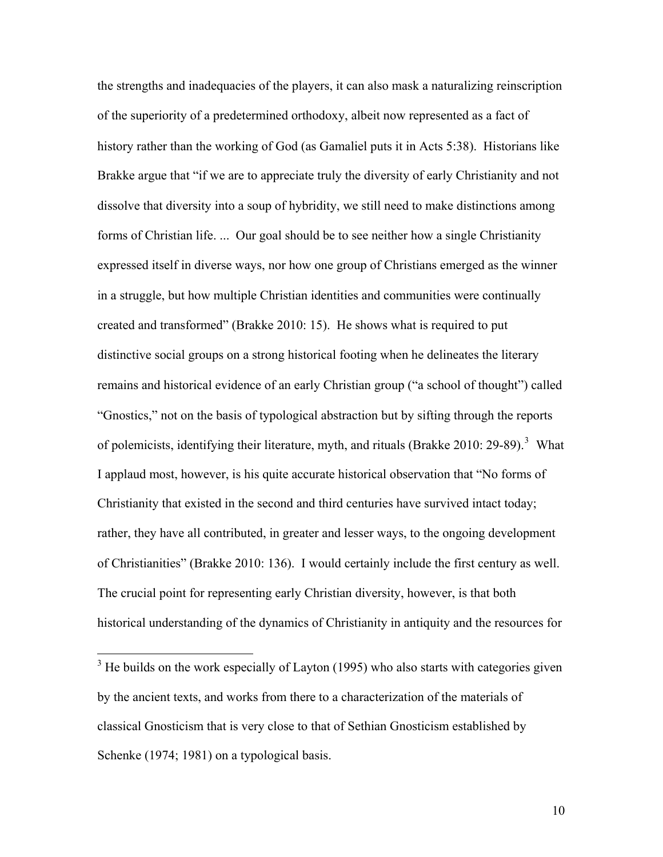the strengths and inadequacies of the players, it can also mask a naturalizing reinscription of the superiority of a predetermined orthodoxy, albeit now represented as a fact of history rather than the working of God (as Gamaliel puts it in Acts 5:38). Historians like Brakke argue that "if we are to appreciate truly the diversity of early Christianity and not dissolve that diversity into a soup of hybridity, we still need to make distinctions among forms of Christian life. ... Our goal should be to see neither how a single Christianity expressed itself in diverse ways, nor how one group of Christians emerged as the winner in a struggle, but how multiple Christian identities and communities were continually created and transformed" (Brakke 2010: 15). He shows what is required to put distinctive social groups on a strong historical footing when he delineates the literary remains and historical evidence of an early Christian group ("a school of thought") called "Gnostics," not on the basis of typological abstraction but by sifting through the reports of polemicists, identifying their literature, myth, and rituals (Brakke 2010: 29-89).<sup>3</sup> What I applaud most, however, is his quite accurate historical observation that "No forms of Christianity that existed in the second and third centuries have survived intact today; rather, they have all contributed, in greater and lesser ways, to the ongoing development of Christianities" (Brakke 2010: 136). I would certainly include the first century as well. The crucial point for representing early Christian diversity, however, is that both historical understanding of the dynamics of Christianity in antiquity and the resources for

 $3$  He builds on the work especially of Layton (1995) who also starts with categories given by the ancient texts, and works from there to a characterization of the materials of classical Gnosticism that is very close to that of Sethian Gnosticism established by Schenke (1974; 1981) on a typological basis.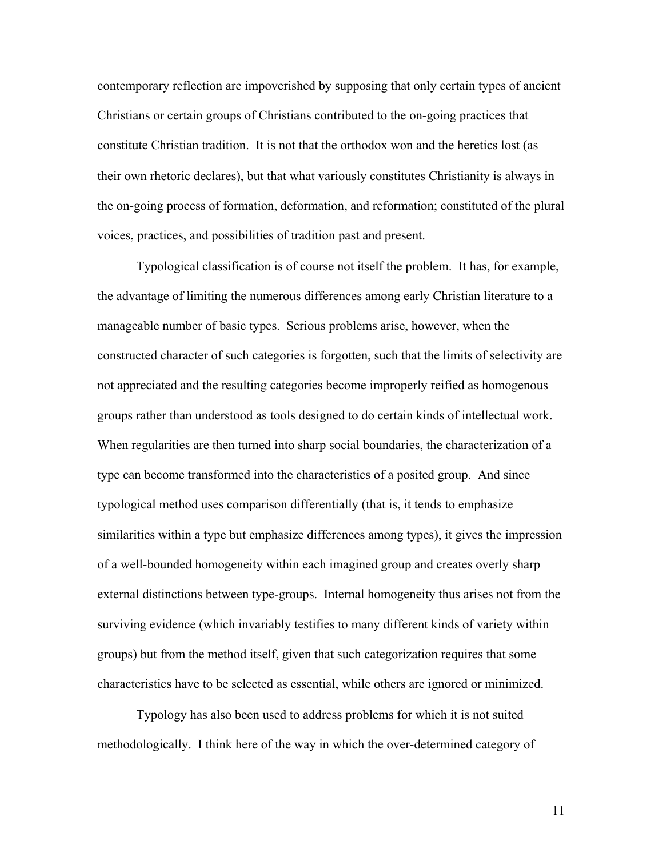contemporary reflection are impoverished by supposing that only certain types of ancient Christians or certain groups of Christians contributed to the on-going practices that constitute Christian tradition. It is not that the orthodox won and the heretics lost (as their own rhetoric declares), but that what variously constitutes Christianity is always in the on-going process of formation, deformation, and reformation; constituted of the plural voices, practices, and possibilities of tradition past and present.

Typological classification is of course not itself the problem. It has, for example, the advantage of limiting the numerous differences among early Christian literature to a manageable number of basic types. Serious problems arise, however, when the constructed character of such categories is forgotten, such that the limits of selectivity are not appreciated and the resulting categories become improperly reified as homogenous groups rather than understood as tools designed to do certain kinds of intellectual work. When regularities are then turned into sharp social boundaries, the characterization of a type can become transformed into the characteristics of a posited group. And since typological method uses comparison differentially (that is, it tends to emphasize similarities within a type but emphasize differences among types), it gives the impression of a well-bounded homogeneity within each imagined group and creates overly sharp external distinctions between type-groups. Internal homogeneity thus arises not from the surviving evidence (which invariably testifies to many different kinds of variety within groups) but from the method itself, given that such categorization requires that some characteristics have to be selected as essential, while others are ignored or minimized.

Typology has also been used to address problems for which it is not suited methodologically. I think here of the way in which the over-determined category of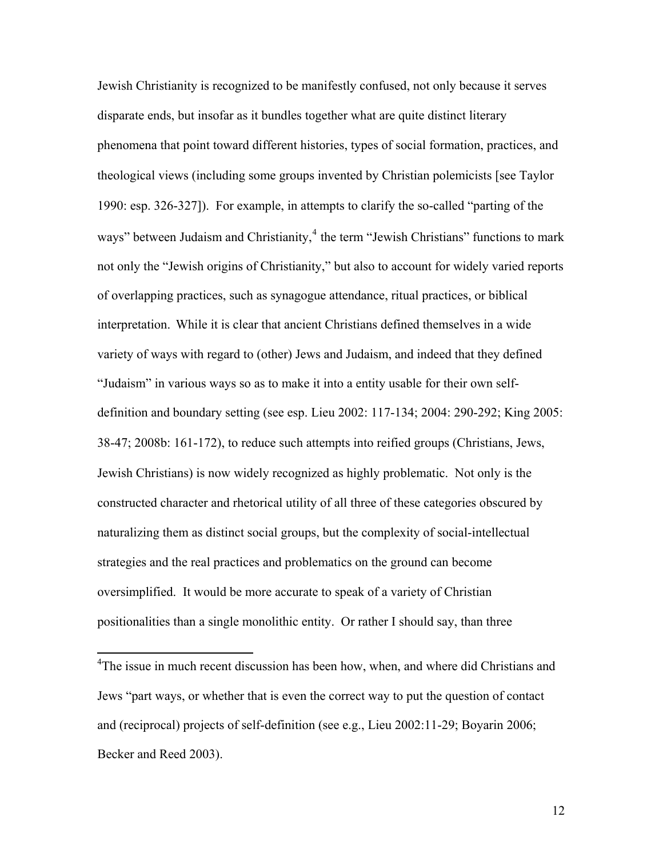Jewish Christianity is recognized to be manifestly confused, not only because it serves disparate ends, but insofar as it bundles together what are quite distinct literary phenomena that point toward different histories, types of social formation, practices, and theological views (including some groups invented by Christian polemicists [see Taylor 1990: esp. 326-327]). For example, in attempts to clarify the so-called "parting of the ways" between Judaism and Christianity,<sup>4</sup> the term "Jewish Christians" functions to mark not only the "Jewish origins of Christianity," but also to account for widely varied reports of overlapping practices, such as synagogue attendance, ritual practices, or biblical interpretation. While it is clear that ancient Christians defined themselves in a wide variety of ways with regard to (other) Jews and Judaism, and indeed that they defined "Judaism" in various ways so as to make it into a entity usable for their own selfdefinition and boundary setting (see esp. Lieu 2002: 117-134; 2004: 290-292; King 2005: 38-47; 2008b: 161-172), to reduce such attempts into reified groups (Christians, Jews, Jewish Christians) is now widely recognized as highly problematic. Not only is the constructed character and rhetorical utility of all three of these categories obscured by naturalizing them as distinct social groups, but the complexity of social-intellectual strategies and the real practices and problematics on the ground can become oversimplified. It would be more accurate to speak of a variety of Christian positionalities than a single monolithic entity. Or rather I should say, than three

<sup>&</sup>lt;sup>4</sup>The issue in much recent discussion has been how, when, and where did Christians and Jews "part ways, or whether that is even the correct way to put the question of contact and (reciprocal) projects of self-definition (see e.g., Lieu 2002:11-29; Boyarin 2006; Becker and Reed 2003).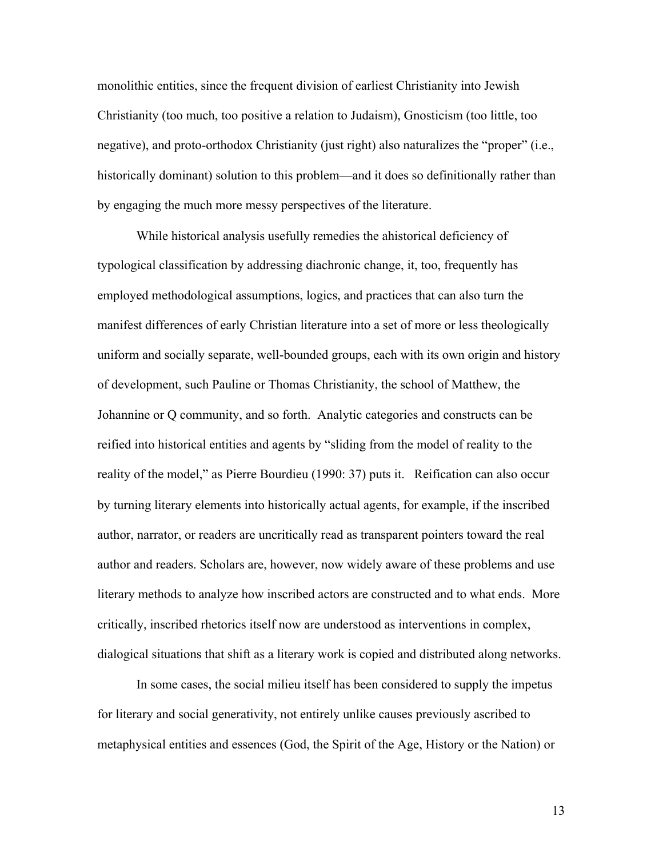monolithic entities, since the frequent division of earliest Christianity into Jewish Christianity (too much, too positive a relation to Judaism), Gnosticism (too little, too negative), and proto-orthodox Christianity (just right) also naturalizes the "proper" (i.e., historically dominant) solution to this problem—and it does so definitionally rather than by engaging the much more messy perspectives of the literature.

While historical analysis usefully remedies the ahistorical deficiency of typological classification by addressing diachronic change, it, too, frequently has employed methodological assumptions, logics, and practices that can also turn the manifest differences of early Christian literature into a set of more or less theologically uniform and socially separate, well-bounded groups, each with its own origin and history of development, such Pauline or Thomas Christianity, the school of Matthew, the Johannine or Q community, and so forth. Analytic categories and constructs can be reified into historical entities and agents by "sliding from the model of reality to the reality of the model," as Pierre Bourdieu (1990: 37) puts it. Reification can also occur by turning literary elements into historically actual agents, for example, if the inscribed author, narrator, or readers are uncritically read as transparent pointers toward the real author and readers. Scholars are, however, now widely aware of these problems and use literary methods to analyze how inscribed actors are constructed and to what ends. More critically, inscribed rhetorics itself now are understood as interventions in complex, dialogical situations that shift as a literary work is copied and distributed along networks.

In some cases, the social milieu itself has been considered to supply the impetus for literary and social generativity, not entirely unlike causes previously ascribed to metaphysical entities and essences (God, the Spirit of the Age, History or the Nation) or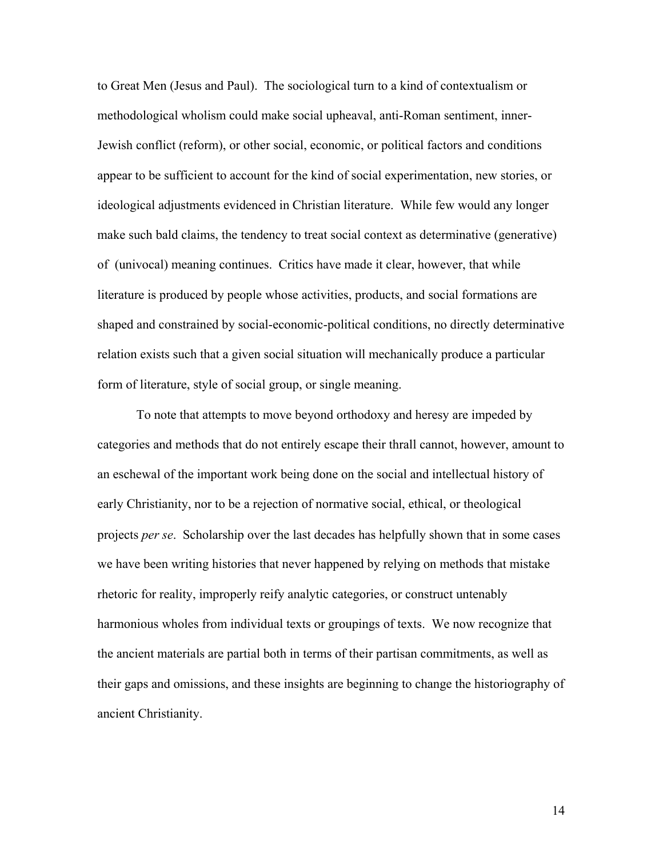to Great Men (Jesus and Paul). The sociological turn to a kind of contextualism or methodological wholism could make social upheaval, anti-Roman sentiment, inner-Jewish conflict (reform), or other social, economic, or political factors and conditions appear to be sufficient to account for the kind of social experimentation, new stories, or ideological adjustments evidenced in Christian literature. While few would any longer make such bald claims, the tendency to treat social context as determinative (generative) of (univocal) meaning continues. Critics have made it clear, however, that while literature is produced by people whose activities, products, and social formations are shaped and constrained by social-economic-political conditions, no directly determinative relation exists such that a given social situation will mechanically produce a particular form of literature, style of social group, or single meaning.

To note that attempts to move beyond orthodoxy and heresy are impeded by categories and methods that do not entirely escape their thrall cannot, however, amount to an eschewal of the important work being done on the social and intellectual history of early Christianity, nor to be a rejection of normative social, ethical, or theological projects *per se*. Scholarship over the last decades has helpfully shown that in some cases we have been writing histories that never happened by relying on methods that mistake rhetoric for reality, improperly reify analytic categories, or construct untenably harmonious wholes from individual texts or groupings of texts. We now recognize that the ancient materials are partial both in terms of their partisan commitments, as well as their gaps and omissions, and these insights are beginning to change the historiography of ancient Christianity.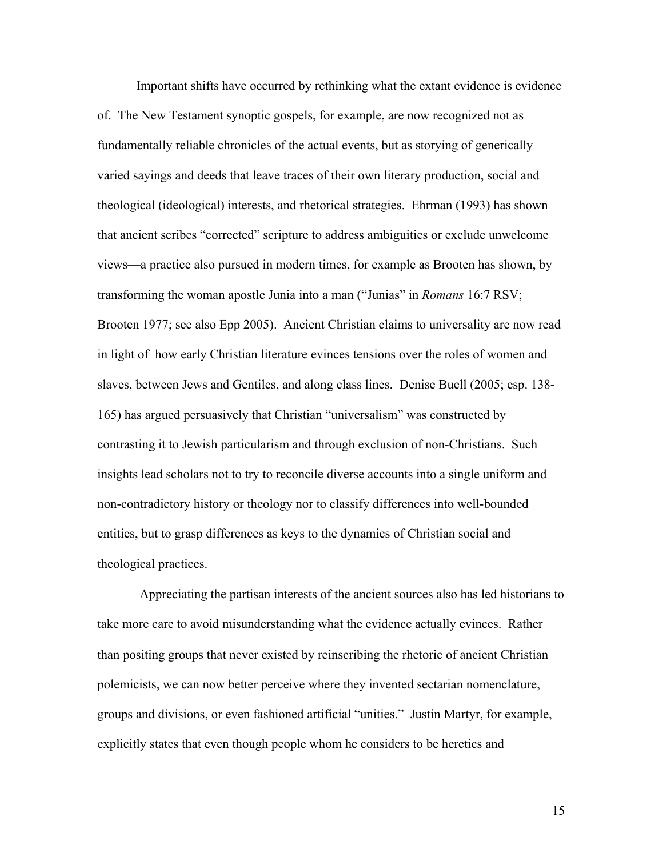Important shifts have occurred by rethinking what the extant evidence is evidence of. The New Testament synoptic gospels, for example, are now recognized not as fundamentally reliable chronicles of the actual events, but as storying of generically varied sayings and deeds that leave traces of their own literary production, social and theological (ideological) interests, and rhetorical strategies. Ehrman (1993) has shown that ancient scribes "corrected" scripture to address ambiguities or exclude unwelcome views—a practice also pursued in modern times, for example as Brooten has shown, by transforming the woman apostle Junia into a man ("Junias" in *Romans* 16:7 RSV; Brooten 1977; see also Epp 2005). Ancient Christian claims to universality are now read in light of how early Christian literature evinces tensions over the roles of women and slaves, between Jews and Gentiles, and along class lines. Denise Buell (2005; esp. 138- 165) has argued persuasively that Christian "universalism" was constructed by contrasting it to Jewish particularism and through exclusion of non-Christians. Such insights lead scholars not to try to reconcile diverse accounts into a single uniform and non-contradictory history or theology nor to classify differences into well-bounded entities, but to grasp differences as keys to the dynamics of Christian social and theological practices.

Appreciating the partisan interests of the ancient sources also has led historians to take more care to avoid misunderstanding what the evidence actually evinces. Rather than positing groups that never existed by reinscribing the rhetoric of ancient Christian polemicists, we can now better perceive where they invented sectarian nomenclature, groups and divisions, or even fashioned artificial "unities." Justin Martyr, for example, explicitly states that even though people whom he considers to be heretics and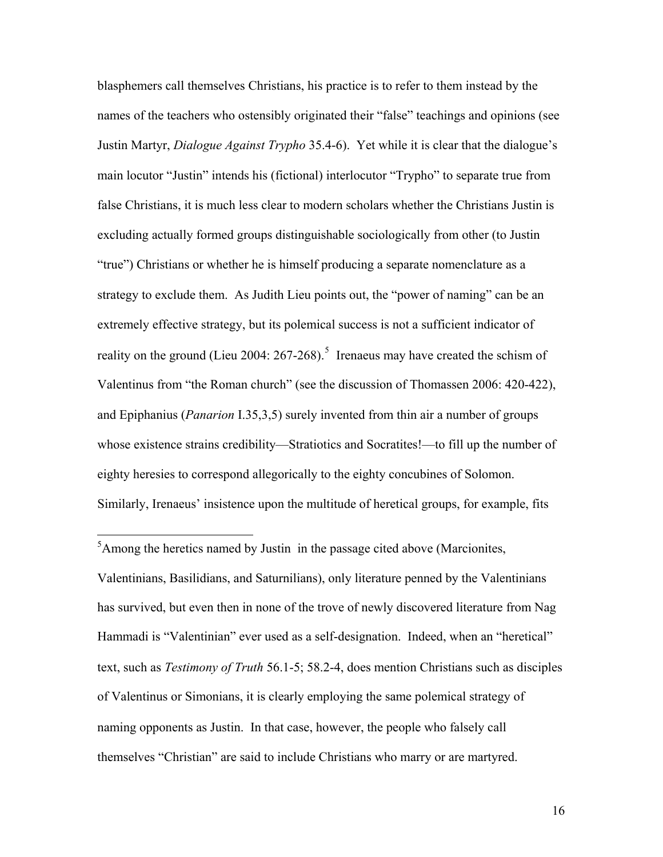blasphemers call themselves Christians, his practice is to refer to them instead by the names of the teachers who ostensibly originated their "false" teachings and opinions (see Justin Martyr, *Dialogue Against Trypho* 35.4-6). Yet while it is clear that the dialogue's main locutor "Justin" intends his (fictional) interlocutor "Trypho" to separate true from false Christians, it is much less clear to modern scholars whether the Christians Justin is excluding actually formed groups distinguishable sociologically from other (to Justin "true") Christians or whether he is himself producing a separate nomenclature as a strategy to exclude them. As Judith Lieu points out, the "power of naming" can be an extremely effective strategy, but its polemical success is not a sufficient indicator of reality on the ground (Lieu 2004:  $267-268$ ).<sup>5</sup> Irenaeus may have created the schism of Valentinus from "the Roman church" (see the discussion of Thomassen 2006: 420-422), and Epiphanius (*Panarion* I.35,3,5) surely invented from thin air a number of groups whose existence strains credibility—Stratiotics and Socratites!—to fill up the number of eighty heresies to correspond allegorically to the eighty concubines of Solomon. Similarly, Irenaeus' insistence upon the multitude of heretical groups, for example, fits

 $<sup>5</sup>$ Among the heretics named by Justin in the passage cited above (Marcionites,</sup> Valentinians, Basilidians, and Saturnilians), only literature penned by the Valentinians has survived, but even then in none of the trove of newly discovered literature from Nag Hammadi is "Valentinian" ever used as a self-designation. Indeed, when an "heretical" text, such as *Testimony of Truth* 56.1-5; 58.2-4, does mention Christians such as disciples of Valentinus or Simonians, it is clearly employing the same polemical strategy of naming opponents as Justin. In that case, however, the people who falsely call themselves "Christian" are said to include Christians who marry or are martyred.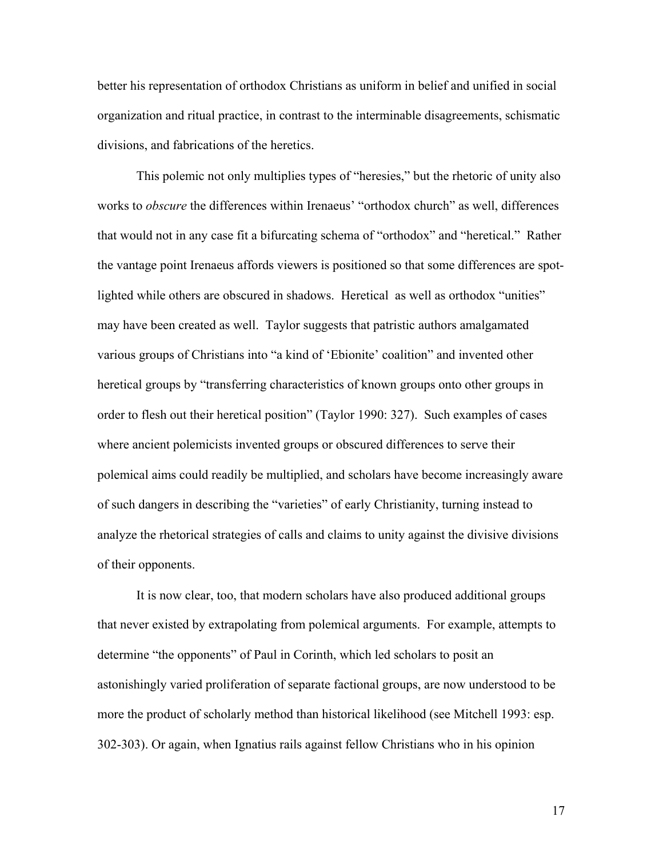better his representation of orthodox Christians as uniform in belief and unified in social organization and ritual practice, in contrast to the interminable disagreements, schismatic divisions, and fabrications of the heretics.

This polemic not only multiplies types of "heresies," but the rhetoric of unity also works to *obscure* the differences within Irenaeus' "orthodox church" as well, differences that would not in any case fit a bifurcating schema of "orthodox" and "heretical." Rather the vantage point Irenaeus affords viewers is positioned so that some differences are spotlighted while others are obscured in shadows. Heretical as well as orthodox "unities" may have been created as well. Taylor suggests that patristic authors amalgamated various groups of Christians into "a kind of 'Ebionite' coalition" and invented other heretical groups by "transferring characteristics of known groups onto other groups in order to flesh out their heretical position" (Taylor 1990: 327). Such examples of cases where ancient polemicists invented groups or obscured differences to serve their polemical aims could readily be multiplied, and scholars have become increasingly aware of such dangers in describing the "varieties" of early Christianity, turning instead to analyze the rhetorical strategies of calls and claims to unity against the divisive divisions of their opponents.

It is now clear, too, that modern scholars have also produced additional groups that never existed by extrapolating from polemical arguments. For example, attempts to determine "the opponents" of Paul in Corinth, which led scholars to posit an astonishingly varied proliferation of separate factional groups, are now understood to be more the product of scholarly method than historical likelihood (see Mitchell 1993: esp. 302-303). Or again, when Ignatius rails against fellow Christians who in his opinion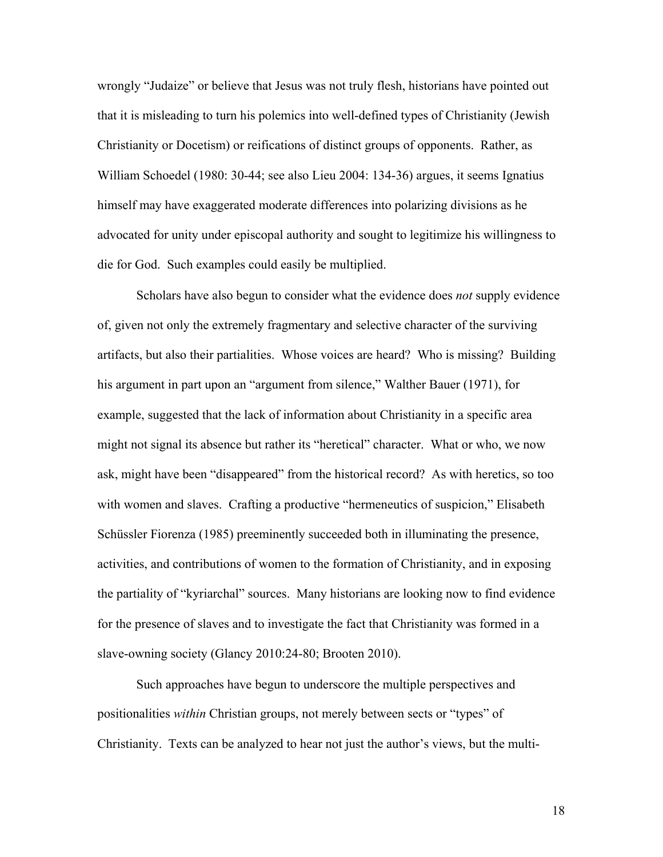wrongly "Judaize" or believe that Jesus was not truly flesh, historians have pointed out that it is misleading to turn his polemics into well-defined types of Christianity (Jewish Christianity or Docetism) or reifications of distinct groups of opponents. Rather, as William Schoedel (1980: 30-44; see also Lieu 2004: 134-36) argues, it seems Ignatius himself may have exaggerated moderate differences into polarizing divisions as he advocated for unity under episcopal authority and sought to legitimize his willingness to die for God. Such examples could easily be multiplied.

Scholars have also begun to consider what the evidence does *not* supply evidence of, given not only the extremely fragmentary and selective character of the surviving artifacts, but also their partialities. Whose voices are heard? Who is missing? Building his argument in part upon an "argument from silence," Walther Bauer (1971), for example, suggested that the lack of information about Christianity in a specific area might not signal its absence but rather its "heretical" character. What or who, we now ask, might have been "disappeared" from the historical record? As with heretics, so too with women and slaves. Crafting a productive "hermeneutics of suspicion," Elisabeth Schüssler Fiorenza (1985) preeminently succeeded both in illuminating the presence, activities, and contributions of women to the formation of Christianity, and in exposing the partiality of "kyriarchal" sources. Many historians are looking now to find evidence for the presence of slaves and to investigate the fact that Christianity was formed in a slave-owning society (Glancy 2010:24-80; Brooten 2010).

Such approaches have begun to underscore the multiple perspectives and positionalities *within* Christian groups, not merely between sects or "types" of Christianity. Texts can be analyzed to hear not just the author's views, but the multi-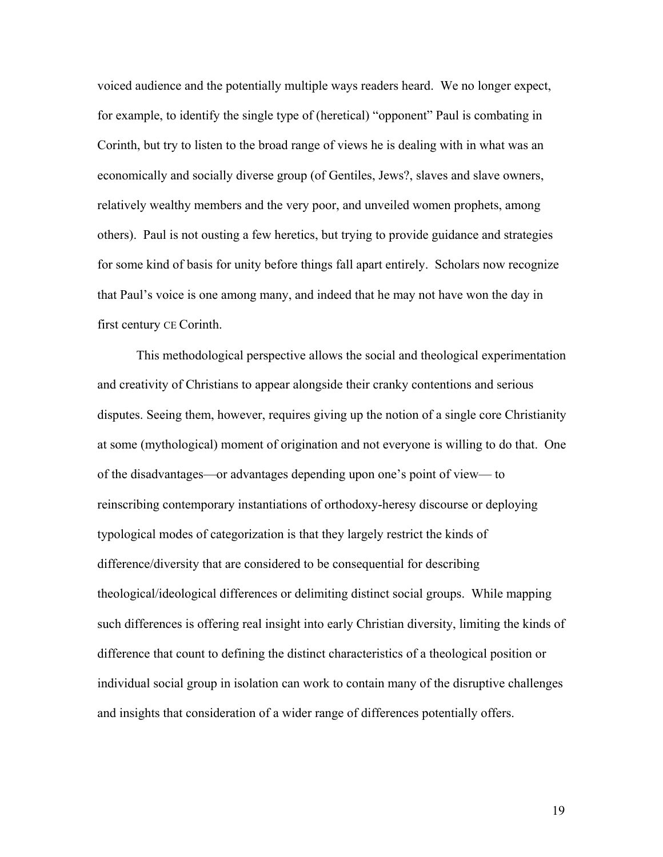voiced audience and the potentially multiple ways readers heard. We no longer expect, for example, to identify the single type of (heretical) "opponent" Paul is combating in Corinth, but try to listen to the broad range of views he is dealing with in what was an economically and socially diverse group (of Gentiles, Jews?, slaves and slave owners, relatively wealthy members and the very poor, and unveiled women prophets, among others). Paul is not ousting a few heretics, but trying to provide guidance and strategies for some kind of basis for unity before things fall apart entirely. Scholars now recognize that Paul's voice is one among many, and indeed that he may not have won the day in first century CE Corinth.

This methodological perspective allows the social and theological experimentation and creativity of Christians to appear alongside their cranky contentions and serious disputes. Seeing them, however, requires giving up the notion of a single core Christianity at some (mythological) moment of origination and not everyone is willing to do that. One of the disadvantages—or advantages depending upon one's point of view— to reinscribing contemporary instantiations of orthodoxy-heresy discourse or deploying typological modes of categorization is that they largely restrict the kinds of difference/diversity that are considered to be consequential for describing theological/ideological differences or delimiting distinct social groups. While mapping such differences is offering real insight into early Christian diversity, limiting the kinds of difference that count to defining the distinct characteristics of a theological position or individual social group in isolation can work to contain many of the disruptive challenges and insights that consideration of a wider range of differences potentially offers.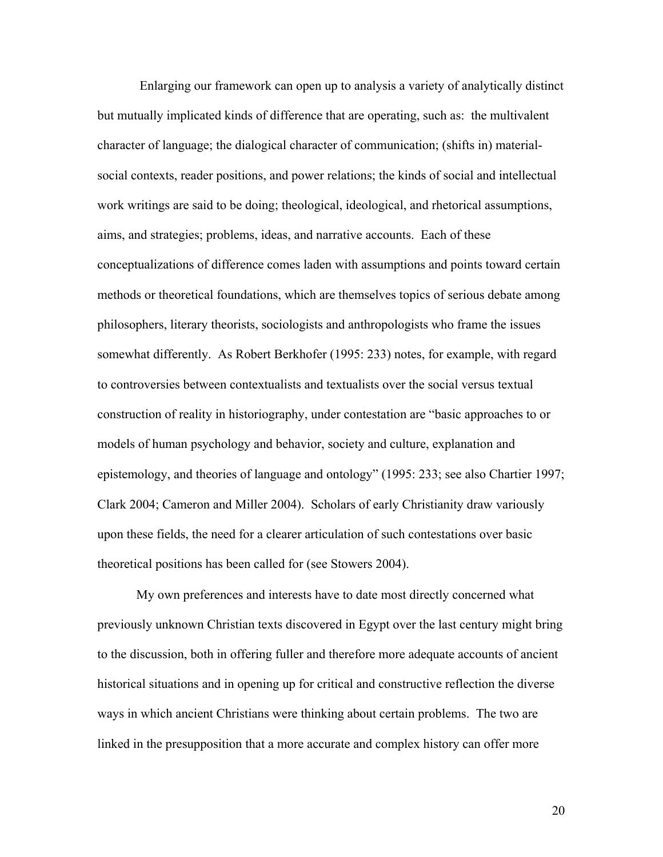Enlarging our framework can open up to analysis a variety of analytically distinct but mutually implicated kinds of difference that are operating, such as: the multivalent character of language; the dialogical character of communication; (shifts in) materialsocial contexts, reader positions, and power relations; the kinds of social and intellectual work writings are said to be doing; theological, ideological, and rhetorical assumptions, aims, and strategies; problems, ideas, and narrative accounts. Each of these conceptualizations of difference comes laden with assumptions and points toward certain methods or theoretical foundations, which are themselves topics of serious debate among philosophers, literary theorists, sociologists and anthropologists who frame the issues somewhat differently. As Robert Berkhofer (1995: 233) notes, for example, with regard to controversies between contextualists and textualists over the social versus textual construction of reality in historiography, under contestation are "basic approaches to or models of human psychology and behavior, society and culture, explanation and epistemology, and theories of language and ontology" (1995: 233; see also Chartier 1997; Clark 2004; Cameron and Miller 2004). Scholars of early Christianity draw variously upon these fields, the need for a clearer articulation of such contestations over basic theoretical positions has been called for (see Stowers 2004).

My own preferences and interests have to date most directly concerned what previously unknown Christian texts discovered in Egypt over the last century might bring to the discussion, both in offering fuller and therefore more adequate accounts of ancient historical situations and in opening up for critical and constructive reflection the diverse ways in which ancient Christians were thinking about certain problems. The two are linked in the presupposition that a more accurate and complex history can offer more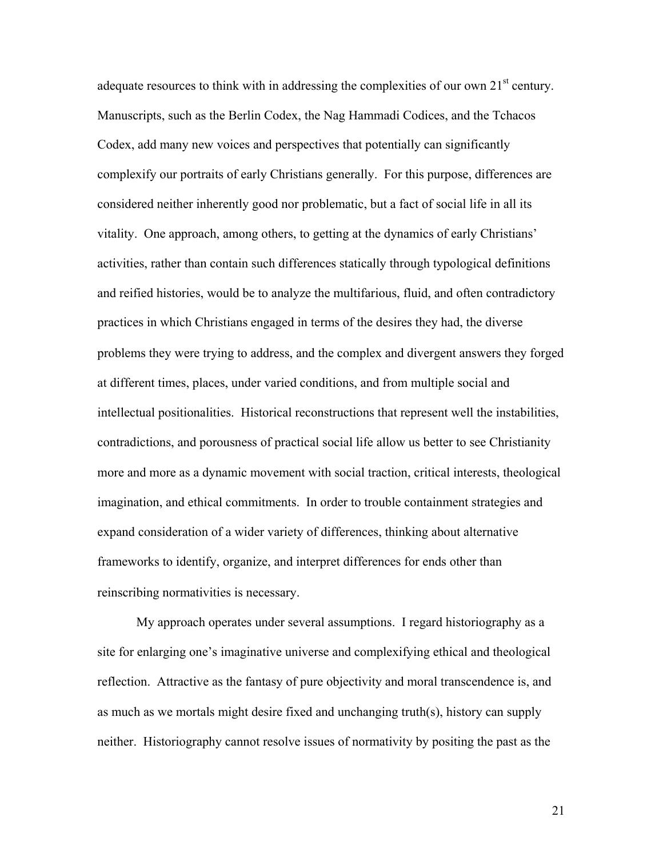adequate resources to think with in addressing the complexities of our own  $21<sup>st</sup>$  century. Manuscripts, such as the Berlin Codex, the Nag Hammadi Codices, and the Tchacos Codex, add many new voices and perspectives that potentially can significantly complexify our portraits of early Christians generally. For this purpose, differences are considered neither inherently good nor problematic, but a fact of social life in all its vitality. One approach, among others, to getting at the dynamics of early Christians' activities, rather than contain such differences statically through typological definitions and reified histories, would be to analyze the multifarious, fluid, and often contradictory practices in which Christians engaged in terms of the desires they had, the diverse problems they were trying to address, and the complex and divergent answers they forged at different times, places, under varied conditions, and from multiple social and intellectual positionalities. Historical reconstructions that represent well the instabilities, contradictions, and porousness of practical social life allow us better to see Christianity more and more as a dynamic movement with social traction, critical interests, theological imagination, and ethical commitments. In order to trouble containment strategies and expand consideration of a wider variety of differences, thinking about alternative frameworks to identify, organize, and interpret differences for ends other than reinscribing normativities is necessary.

My approach operates under several assumptions. I regard historiography as a site for enlarging one's imaginative universe and complexifying ethical and theological reflection. Attractive as the fantasy of pure objectivity and moral transcendence is, and as much as we mortals might desire fixed and unchanging truth(s), history can supply neither. Historiography cannot resolve issues of normativity by positing the past as the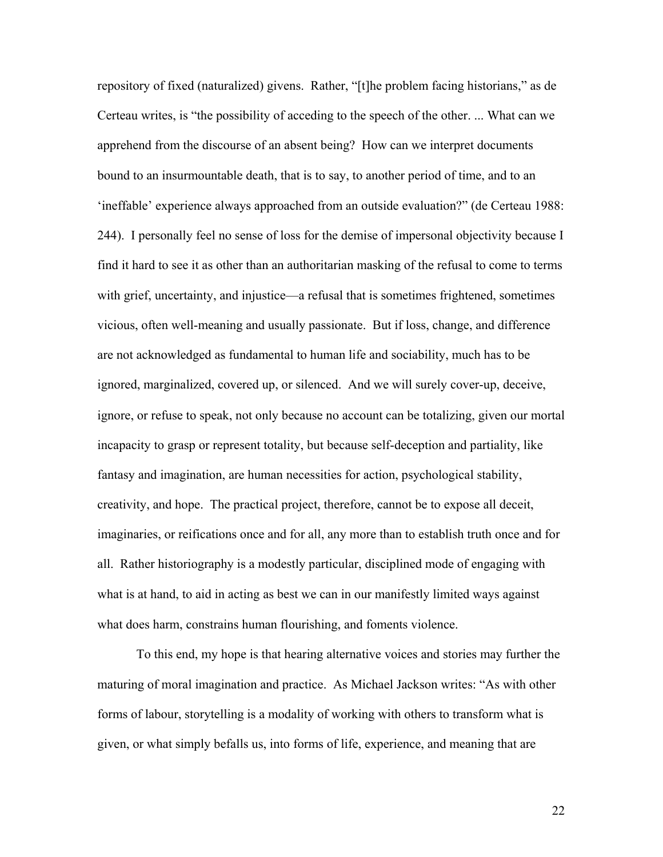repository of fixed (naturalized) givens. Rather, "[t]he problem facing historians," as de Certeau writes, is "the possibility of acceding to the speech of the other. ... What can we apprehend from the discourse of an absent being? How can we interpret documents bound to an insurmountable death, that is to say, to another period of time, and to an 'ineffable' experience always approached from an outside evaluation?" (de Certeau 1988: 244). I personally feel no sense of loss for the demise of impersonal objectivity because I find it hard to see it as other than an authoritarian masking of the refusal to come to terms with grief, uncertainty, and injustice—a refusal that is sometimes frightened, sometimes vicious, often well-meaning and usually passionate. But if loss, change, and difference are not acknowledged as fundamental to human life and sociability, much has to be ignored, marginalized, covered up, or silenced. And we will surely cover-up, deceive, ignore, or refuse to speak, not only because no account can be totalizing, given our mortal incapacity to grasp or represent totality, but because self-deception and partiality, like fantasy and imagination, are human necessities for action, psychological stability, creativity, and hope. The practical project, therefore, cannot be to expose all deceit, imaginaries, or reifications once and for all, any more than to establish truth once and for all. Rather historiography is a modestly particular, disciplined mode of engaging with what is at hand, to aid in acting as best we can in our manifestly limited ways against what does harm, constrains human flourishing, and foments violence.

To this end, my hope is that hearing alternative voices and stories may further the maturing of moral imagination and practice. As Michael Jackson writes: "As with other forms of labour, storytelling is a modality of working with others to transform what is given, or what simply befalls us, into forms of life, experience, and meaning that are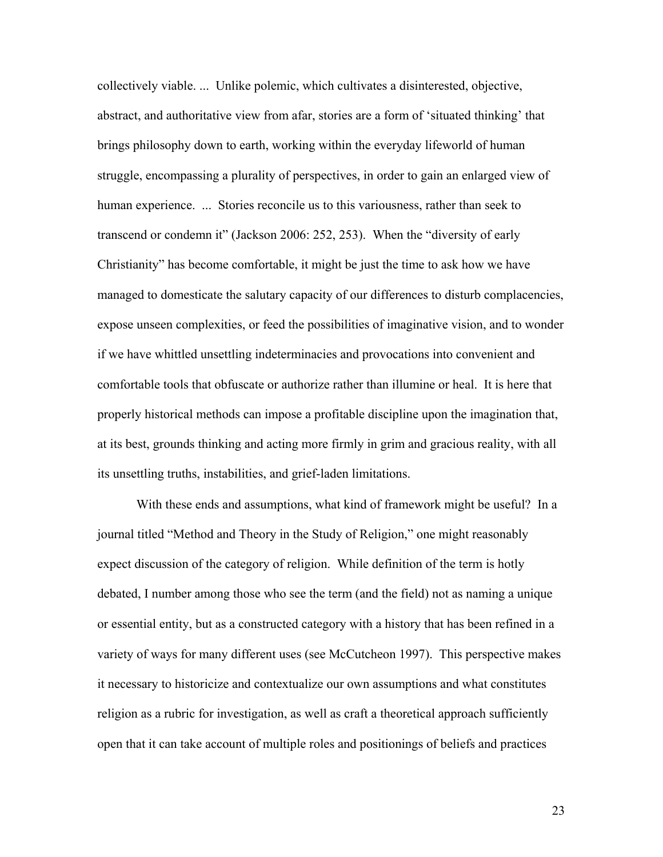collectively viable. ... Unlike polemic, which cultivates a disinterested, objective, abstract, and authoritative view from afar, stories are a form of 'situated thinking' that brings philosophy down to earth, working within the everyday lifeworld of human struggle, encompassing a plurality of perspectives, in order to gain an enlarged view of human experience. ... Stories reconcile us to this variousness, rather than seek to transcend or condemn it" (Jackson 2006: 252, 253). When the "diversity of early Christianity" has become comfortable, it might be just the time to ask how we have managed to domesticate the salutary capacity of our differences to disturb complacencies, expose unseen complexities, or feed the possibilities of imaginative vision, and to wonder if we have whittled unsettling indeterminacies and provocations into convenient and comfortable tools that obfuscate or authorize rather than illumine or heal. It is here that properly historical methods can impose a profitable discipline upon the imagination that, at its best, grounds thinking and acting more firmly in grim and gracious reality, with all its unsettling truths, instabilities, and grief-laden limitations.

With these ends and assumptions, what kind of framework might be useful? In a journal titled "Method and Theory in the Study of Religion," one might reasonably expect discussion of the category of religion. While definition of the term is hotly debated, I number among those who see the term (and the field) not as naming a unique or essential entity, but as a constructed category with a history that has been refined in a variety of ways for many different uses (see McCutcheon 1997). This perspective makes it necessary to historicize and contextualize our own assumptions and what constitutes religion as a rubric for investigation, as well as craft a theoretical approach sufficiently open that it can take account of multiple roles and positionings of beliefs and practices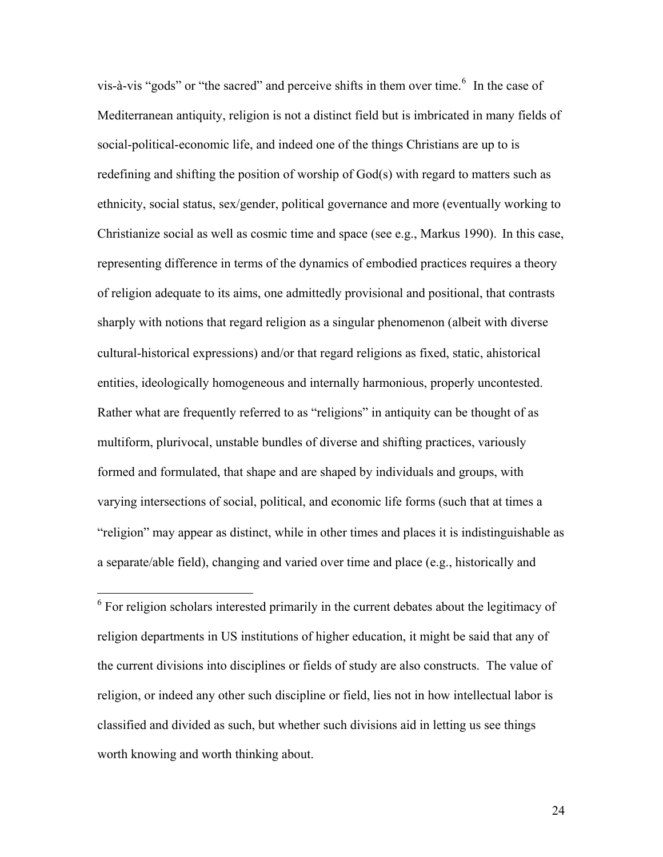vis-à-vis "gods" or "the sacred" and perceive shifts in them over time. 6 In the case of Mediterranean antiquity, religion is not a distinct field but is imbricated in many fields of social-political-economic life, and indeed one of the things Christians are up to is redefining and shifting the position of worship of God(s) with regard to matters such as ethnicity, social status, sex/gender, political governance and more (eventually working to Christianize social as well as cosmic time and space (see e.g., Markus 1990). In this case, representing difference in terms of the dynamics of embodied practices requires a theory of religion adequate to its aims, one admittedly provisional and positional, that contrasts sharply with notions that regard religion as a singular phenomenon (albeit with diverse cultural-historical expressions) and/or that regard religions as fixed, static, ahistorical entities, ideologically homogeneous and internally harmonious, properly uncontested. Rather what are frequently referred to as "religions" in antiquity can be thought of as multiform, plurivocal, unstable bundles of diverse and shifting practices, variously formed and formulated, that shape and are shaped by individuals and groups, with varying intersections of social, political, and economic life forms (such that at times a "religion" may appear as distinct, while in other times and places it is indistinguishable as a separate/able field), changing and varied over time and place (e.g., historically and

 $6$  For religion scholars interested primarily in the current debates about the legitimacy of religion departments in US institutions of higher education, it might be said that any of the current divisions into disciplines or fields of study are also constructs. The value of religion, or indeed any other such discipline or field, lies not in how intellectual labor is classified and divided as such, but whether such divisions aid in letting us see things worth knowing and worth thinking about.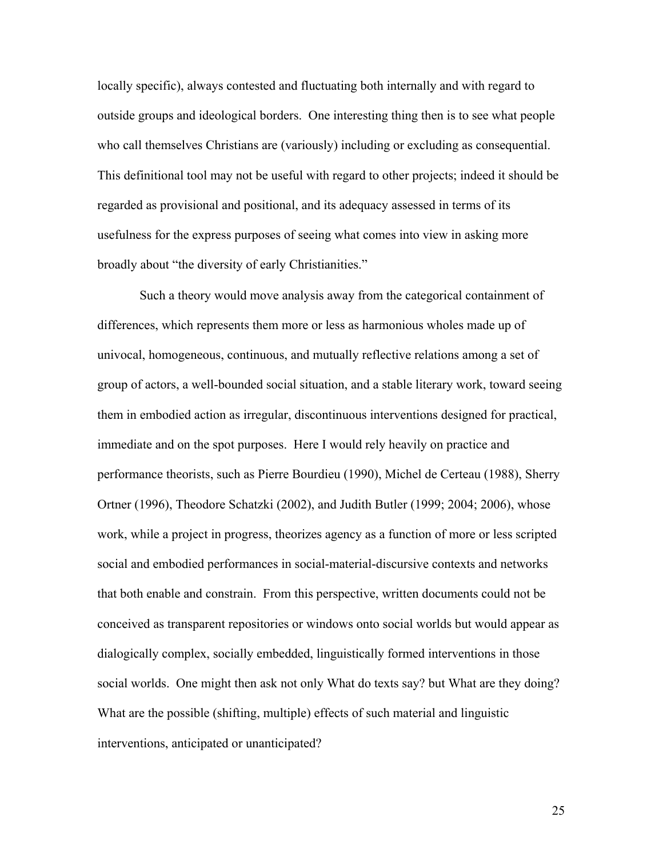locally specific), always contested and fluctuating both internally and with regard to outside groups and ideological borders. One interesting thing then is to see what people who call themselves Christians are (variously) including or excluding as consequential. This definitional tool may not be useful with regard to other projects; indeed it should be regarded as provisional and positional, and its adequacy assessed in terms of its usefulness for the express purposes of seeing what comes into view in asking more broadly about "the diversity of early Christianities."

Such a theory would move analysis away from the categorical containment of differences, which represents them more or less as harmonious wholes made up of univocal, homogeneous, continuous, and mutually reflective relations among a set of group of actors, a well-bounded social situation, and a stable literary work, toward seeing them in embodied action as irregular, discontinuous interventions designed for practical, immediate and on the spot purposes. Here I would rely heavily on practice and performance theorists, such as Pierre Bourdieu (1990), Michel de Certeau (1988), Sherry Ortner (1996), Theodore Schatzki (2002), and Judith Butler (1999; 2004; 2006), whose work, while a project in progress, theorizes agency as a function of more or less scripted social and embodied performances in social-material-discursive contexts and networks that both enable and constrain. From this perspective, written documents could not be conceived as transparent repositories or windows onto social worlds but would appear as dialogically complex, socially embedded, linguistically formed interventions in those social worlds. One might then ask not only What do texts say? but What are they doing? What are the possible (shifting, multiple) effects of such material and linguistic interventions, anticipated or unanticipated?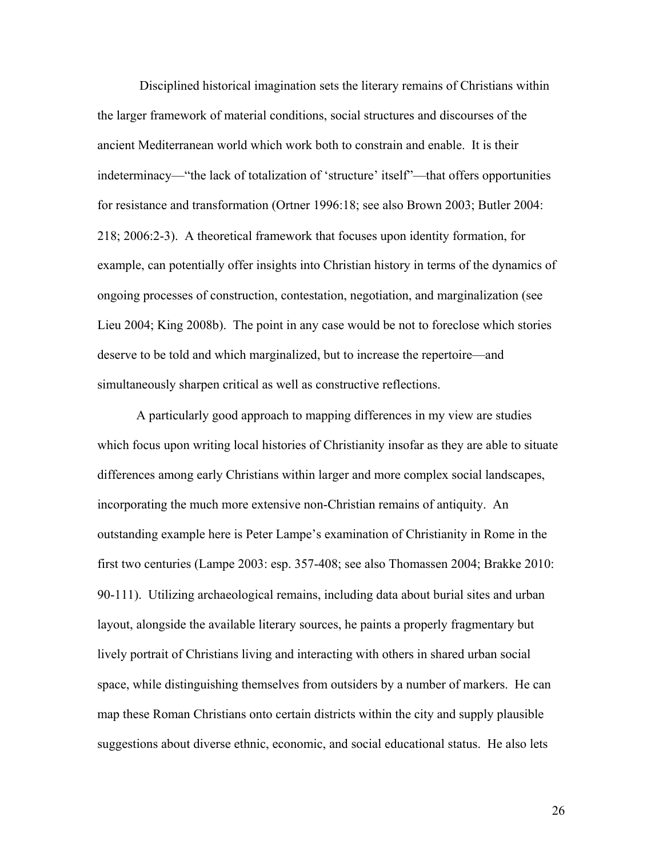Disciplined historical imagination sets the literary remains of Christians within the larger framework of material conditions, social structures and discourses of the ancient Mediterranean world which work both to constrain and enable. It is their indeterminacy—"the lack of totalization of 'structure' itself"—that offers opportunities for resistance and transformation (Ortner 1996:18; see also Brown 2003; Butler 2004: 218; 2006:2-3). A theoretical framework that focuses upon identity formation, for example, can potentially offer insights into Christian history in terms of the dynamics of ongoing processes of construction, contestation, negotiation, and marginalization (see Lieu 2004; King 2008b). The point in any case would be not to foreclose which stories deserve to be told and which marginalized, but to increase the repertoire—and simultaneously sharpen critical as well as constructive reflections.

A particularly good approach to mapping differences in my view are studies which focus upon writing local histories of Christianity insofar as they are able to situate differences among early Christians within larger and more complex social landscapes, incorporating the much more extensive non-Christian remains of antiquity. An outstanding example here is Peter Lampe's examination of Christianity in Rome in the first two centuries (Lampe 2003: esp. 357-408; see also Thomassen 2004; Brakke 2010: 90-111). Utilizing archaeological remains, including data about burial sites and urban layout, alongside the available literary sources, he paints a properly fragmentary but lively portrait of Christians living and interacting with others in shared urban social space, while distinguishing themselves from outsiders by a number of markers. He can map these Roman Christians onto certain districts within the city and supply plausible suggestions about diverse ethnic, economic, and social educational status. He also lets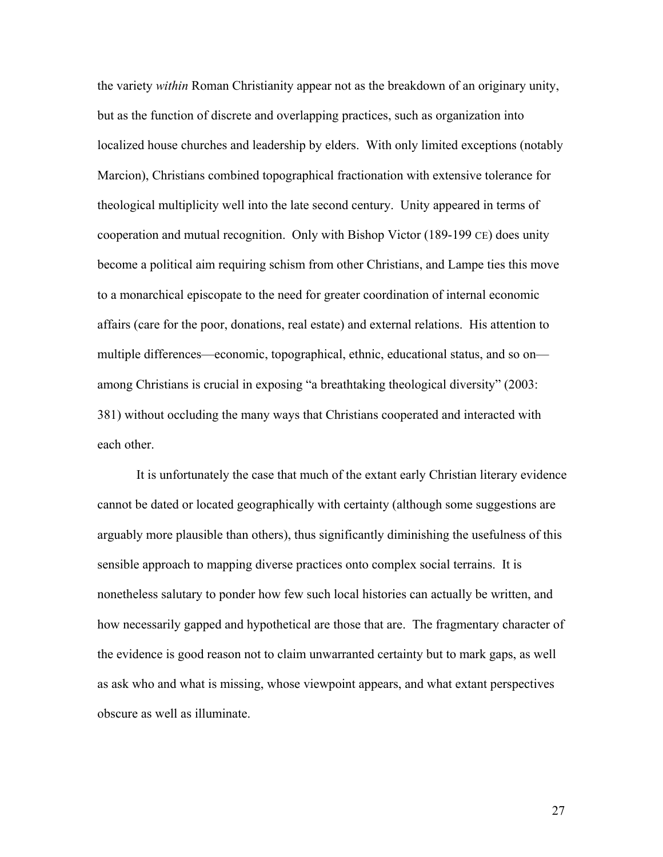the variety *within* Roman Christianity appear not as the breakdown of an originary unity, but as the function of discrete and overlapping practices, such as organization into localized house churches and leadership by elders. With only limited exceptions (notably Marcion), Christians combined topographical fractionation with extensive tolerance for theological multiplicity well into the late second century. Unity appeared in terms of cooperation and mutual recognition. Only with Bishop Victor (189-199 CE) does unity become a political aim requiring schism from other Christians, and Lampe ties this move to a monarchical episcopate to the need for greater coordination of internal economic affairs (care for the poor, donations, real estate) and external relations. His attention to multiple differences—economic, topographical, ethnic, educational status, and so on among Christians is crucial in exposing "a breathtaking theological diversity" (2003: 381) without occluding the many ways that Christians cooperated and interacted with each other.

It is unfortunately the case that much of the extant early Christian literary evidence cannot be dated or located geographically with certainty (although some suggestions are arguably more plausible than others), thus significantly diminishing the usefulness of this sensible approach to mapping diverse practices onto complex social terrains. It is nonetheless salutary to ponder how few such local histories can actually be written, and how necessarily gapped and hypothetical are those that are. The fragmentary character of the evidence is good reason not to claim unwarranted certainty but to mark gaps, as well as ask who and what is missing, whose viewpoint appears, and what extant perspectives obscure as well as illuminate.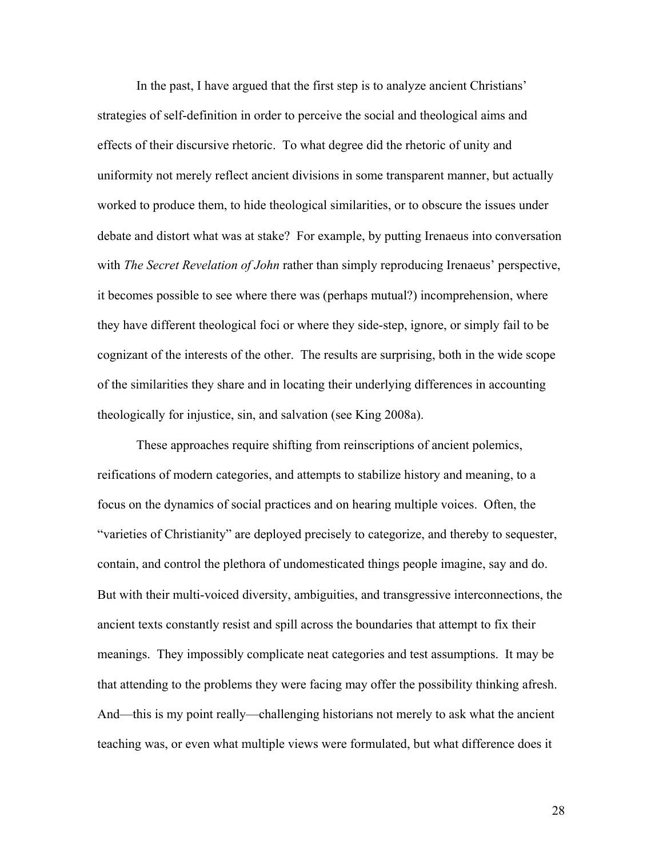In the past, I have argued that the first step is to analyze ancient Christians' strategies of self-definition in order to perceive the social and theological aims and effects of their discursive rhetoric. To what degree did the rhetoric of unity and uniformity not merely reflect ancient divisions in some transparent manner, but actually worked to produce them, to hide theological similarities, or to obscure the issues under debate and distort what was at stake? For example, by putting Irenaeus into conversation with *The Secret Revelation of John* rather than simply reproducing Irenaeus' perspective, it becomes possible to see where there was (perhaps mutual?) incomprehension, where they have different theological foci or where they side-step, ignore, or simply fail to be cognizant of the interests of the other. The results are surprising, both in the wide scope of the similarities they share and in locating their underlying differences in accounting theologically for injustice, sin, and salvation (see King 2008a).

These approaches require shifting from reinscriptions of ancient polemics, reifications of modern categories, and attempts to stabilize history and meaning, to a focus on the dynamics of social practices and on hearing multiple voices. Often, the "varieties of Christianity" are deployed precisely to categorize, and thereby to sequester, contain, and control the plethora of undomesticated things people imagine, say and do. But with their multi-voiced diversity, ambiguities, and transgressive interconnections, the ancient texts constantly resist and spill across the boundaries that attempt to fix their meanings. They impossibly complicate neat categories and test assumptions. It may be that attending to the problems they were facing may offer the possibility thinking afresh. And—this is my point really—challenging historians not merely to ask what the ancient teaching was, or even what multiple views were formulated, but what difference does it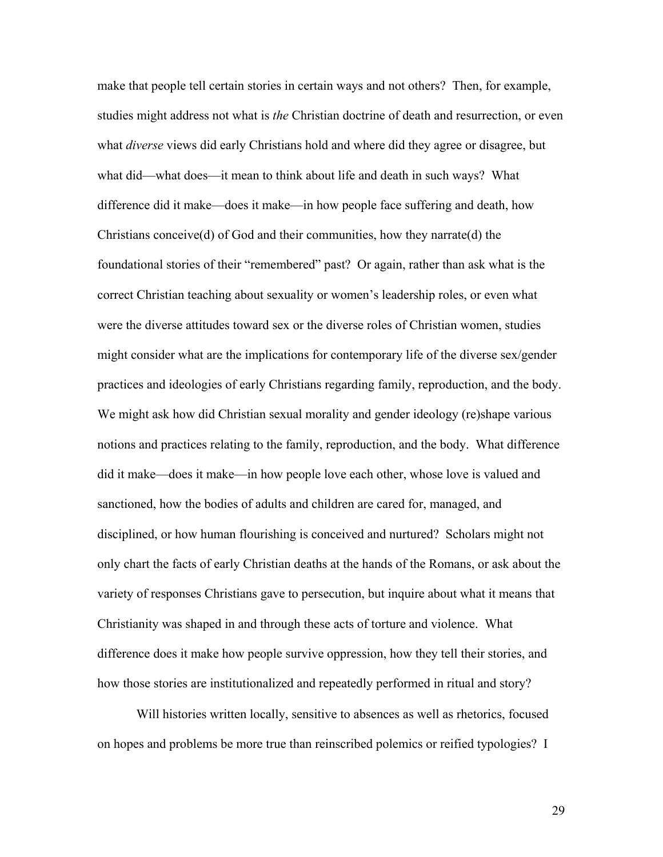make that people tell certain stories in certain ways and not others? Then, for example, studies might address not what is *the* Christian doctrine of death and resurrection, or even what *diverse* views did early Christians hold and where did they agree or disagree, but what did—what does—it mean to think about life and death in such ways? What difference did it make—does it make—in how people face suffering and death, how Christians conceive(d) of God and their communities, how they narrate(d) the foundational stories of their "remembered" past? Or again, rather than ask what is the correct Christian teaching about sexuality or women's leadership roles, or even what were the diverse attitudes toward sex or the diverse roles of Christian women, studies might consider what are the implications for contemporary life of the diverse sex/gender practices and ideologies of early Christians regarding family, reproduction, and the body. We might ask how did Christian sexual morality and gender ideology (re)shape various notions and practices relating to the family, reproduction, and the body. What difference did it make—does it make—in how people love each other, whose love is valued and sanctioned, how the bodies of adults and children are cared for, managed, and disciplined, or how human flourishing is conceived and nurtured? Scholars might not only chart the facts of early Christian deaths at the hands of the Romans, or ask about the variety of responses Christians gave to persecution, but inquire about what it means that Christianity was shaped in and through these acts of torture and violence. What difference does it make how people survive oppression, how they tell their stories, and how those stories are institutionalized and repeatedly performed in ritual and story?

Will histories written locally, sensitive to absences as well as rhetorics, focused on hopes and problems be more true than reinscribed polemics or reified typologies? I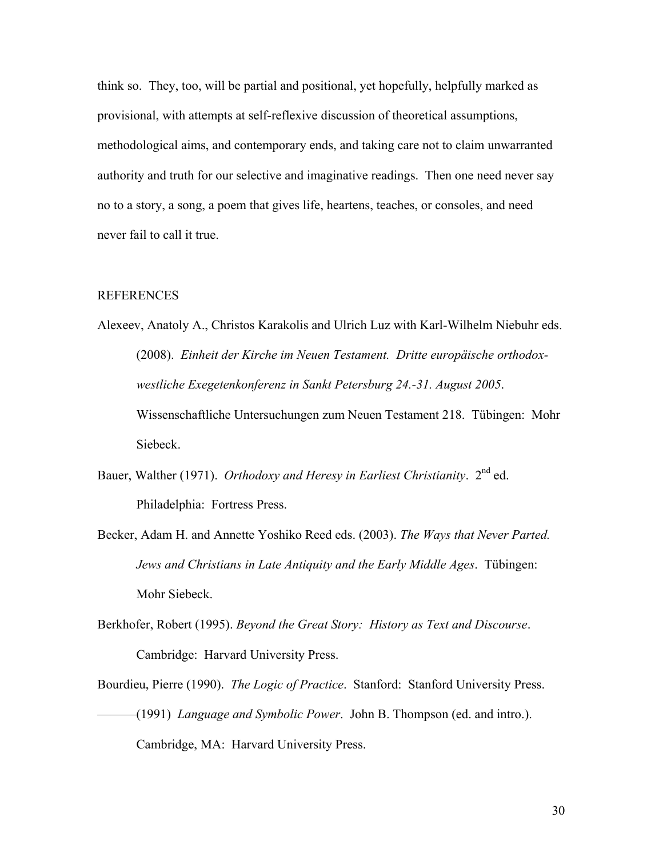think so. They, too, will be partial and positional, yet hopefully, helpfully marked as provisional, with attempts at self-reflexive discussion of theoretical assumptions, methodological aims, and contemporary ends, and taking care not to claim unwarranted authority and truth for our selective and imaginative readings. Then one need never say no to a story, a song, a poem that gives life, heartens, teaches, or consoles, and need never fail to call it true.

#### REFERENCES

- Alexeev, Anatoly A., Christos Karakolis and Ulrich Luz with Karl-Wilhelm Niebuhr eds. (2008). *Einheit der Kirche im Neuen Testament. Dritte europäische orthodoxwestliche Exegetenkonferenz in Sankt Petersburg 24.-31. August 2005*. Wissenschaftliche Untersuchungen zum Neuen Testament 218. Tübingen: Mohr Siebeck.
- Bauer, Walther (1971). *Orthodoxy and Heresy in Earliest Christianity*. 2<sup>nd</sup> ed. Philadelphia: Fortress Press.
- Becker, Adam H. and Annette Yoshiko Reed eds. (2003). *The Ways that Never Parted. Jews and Christians in Late Antiquity and the Early Middle Ages*. Tübingen: Mohr Siebeck.
- Berkhofer, Robert (1995). *Beyond the Great Story: History as Text and Discourse*. Cambridge: Harvard University Press.
- Bourdieu, Pierre (1990). *The Logic of Practice*. Stanford: Stanford University Press. ———(1991) *Language and Symbolic Power*. John B. Thompson (ed. and intro.). Cambridge, MA: Harvard University Press.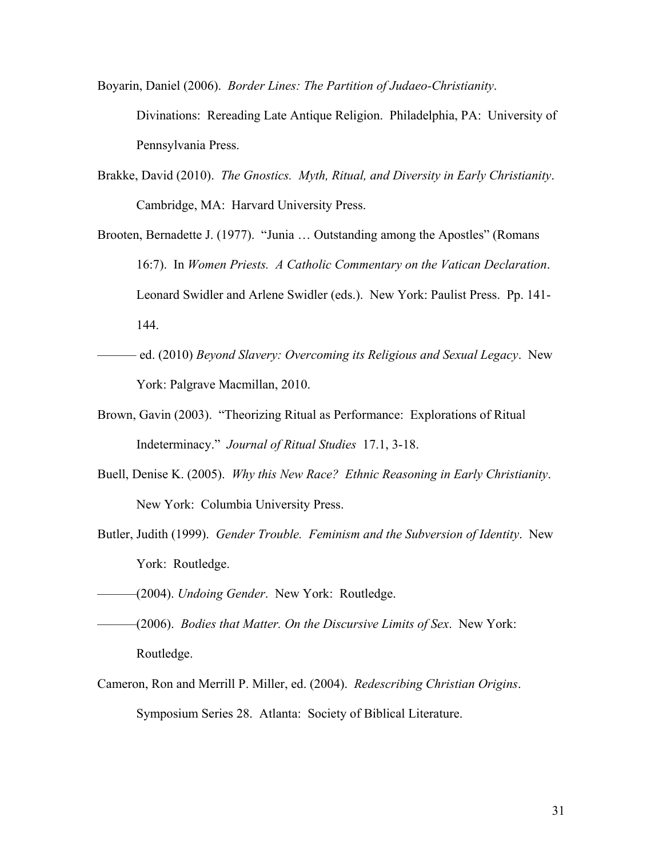- Boyarin, Daniel (2006). *Border Lines: The Partition of Judaeo-Christianity*. Divinations: Rereading Late Antique Religion. Philadelphia, PA: University of Pennsylvania Press.
- Brakke, David (2010). *The Gnostics. Myth, Ritual, and Diversity in Early Christianity*. Cambridge, MA: Harvard University Press.
- Brooten, Bernadette J. (1977). "Junia … Outstanding among the Apostles" (Romans 16:7). In *Women Priests. A Catholic Commentary on the Vatican Declaration*. Leonard Swidler and Arlene Swidler (eds.). New York: Paulist Press. Pp. 141- 144.
- ——— ed. (2010) *Beyond Slavery: Overcoming its Religious and Sexual Legacy*. New York: Palgrave Macmillan, 2010.
- Brown, Gavin (2003). "Theorizing Ritual as Performance: Explorations of Ritual Indeterminacy." *Journal of Ritual Studies* 17.1, 3-18.
- Buell, Denise K. (2005). *Why this New Race? Ethnic Reasoning in Early Christianity*. New York: Columbia University Press.
- Butler, Judith (1999). *Gender Trouble. Feminism and the Subversion of Identity*. New York: Routledge.
- ———(2004). *Undoing Gender*. New York: Routledge.
- ———(2006). *Bodies that Matter. On the Discursive Limits of Sex*. New York: Routledge.
- Cameron, Ron and Merrill P. Miller, ed. (2004). *Redescribing Christian Origins*. Symposium Series 28. Atlanta: Society of Biblical Literature.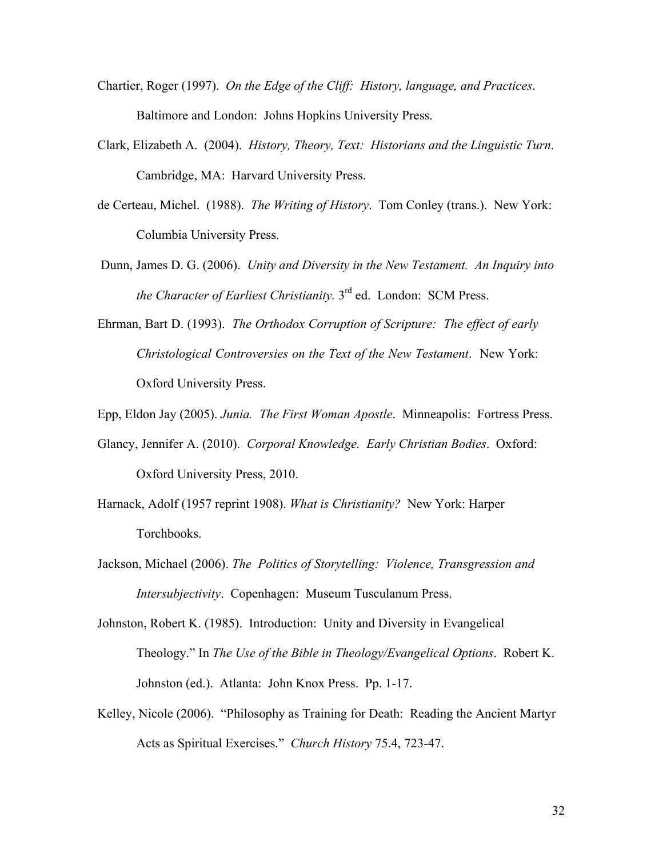- Chartier, Roger (1997). *On the Edge of the Cliff: History, language, and Practices*. Baltimore and London: Johns Hopkins University Press.
- Clark, Elizabeth A. (2004). *History, Theory, Text: Historians and the Linguistic Turn*. Cambridge, MA: Harvard University Press.
- de Certeau, Michel. (1988). *The Writing of History*. Tom Conley (trans.). New York: Columbia University Press.
- Dunn, James D. G. (2006). *Unity and Diversity in the New Testament. An Inquiry into the Character of Earliest Christianity.* 3<sup>rd</sup> ed. London: SCM Press.
- Ehrman, Bart D. (1993). *The Orthodox Corruption of Scripture: The effect of early Christological Controversies on the Text of the New Testament*. New York: Oxford University Press.
- Epp, Eldon Jay (2005). *Junia. The First Woman Apostle*. Minneapolis: Fortress Press.
- Glancy, Jennifer A. (2010). *Corporal Knowledge. Early Christian Bodies*. Oxford: Oxford University Press, 2010.
- Harnack, Adolf (1957 reprint 1908). *What is Christianity?* New York: Harper Torchbooks.
- Jackson, Michael (2006). *The Politics of Storytelling: Violence, Transgression and Intersubjectivity*. Copenhagen: Museum Tusculanum Press.
- Johnston, Robert K. (1985). Introduction: Unity and Diversity in Evangelical Theology." In *The Use of the Bible in Theology/Evangelical Options*. Robert K. Johnston (ed.). Atlanta: John Knox Press. Pp. 1-17.
- Kelley, Nicole (2006). "Philosophy as Training for Death: Reading the Ancient Martyr Acts as Spiritual Exercises." *Church History* 75.4, 723-47.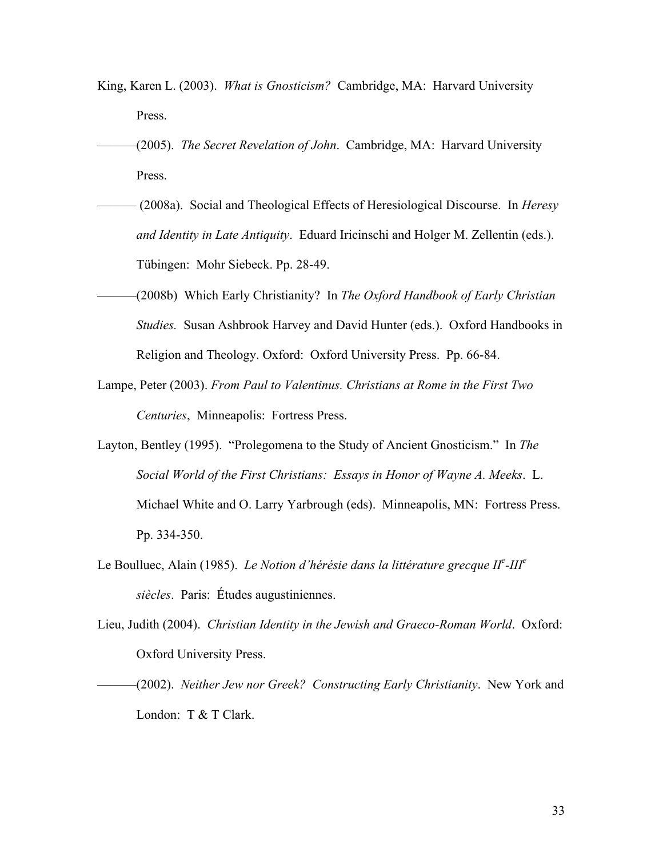- King, Karen L. (2003). *What is Gnosticism?* Cambridge, MA: Harvard University Press.
- ———(2005). *The Secret Revelation of John*. Cambridge, MA: Harvard University Press.
- ——— (2008a). Social and Theological Effects of Heresiological Discourse. In *Heresy and Identity in Late Antiquity*. Eduard Iricinschi and Holger M. Zellentin (eds.). Tübingen: Mohr Siebeck. Pp. 28-49.
- ———(2008b) Which Early Christianity? In *The Oxford Handbook of Early Christian Studies.* Susan Ashbrook Harvey and David Hunter (eds.). Oxford Handbooks in Religion and Theology. Oxford: Oxford University Press. Pp. 66-84.
- Lampe, Peter (2003). *From Paul to Valentinus. Christians at Rome in the First Two Centuries*, Minneapolis: Fortress Press.
- Layton, Bentley (1995). "Prolegomena to the Study of Ancient Gnosticism." In *The Social World of the First Christians: Essays in Honor of Wayne A. Meeks*. L. Michael White and O. Larry Yarbrough (eds). Minneapolis, MN: Fortress Press. Pp. 334-350.
- Le Boulluec, Alain (1985). *Le Notion d'hérésie dans la littérature grecque II<sup>e</sup> -III<sup>e</sup> siècles*. Paris: Études augustiniennes.
- Lieu, Judith (2004). *Christian Identity in the Jewish and Graeco-Roman World*. Oxford: Oxford University Press.
- ———(2002). *Neither Jew nor Greek? Constructing Early Christianity*. New York and London: T & T Clark.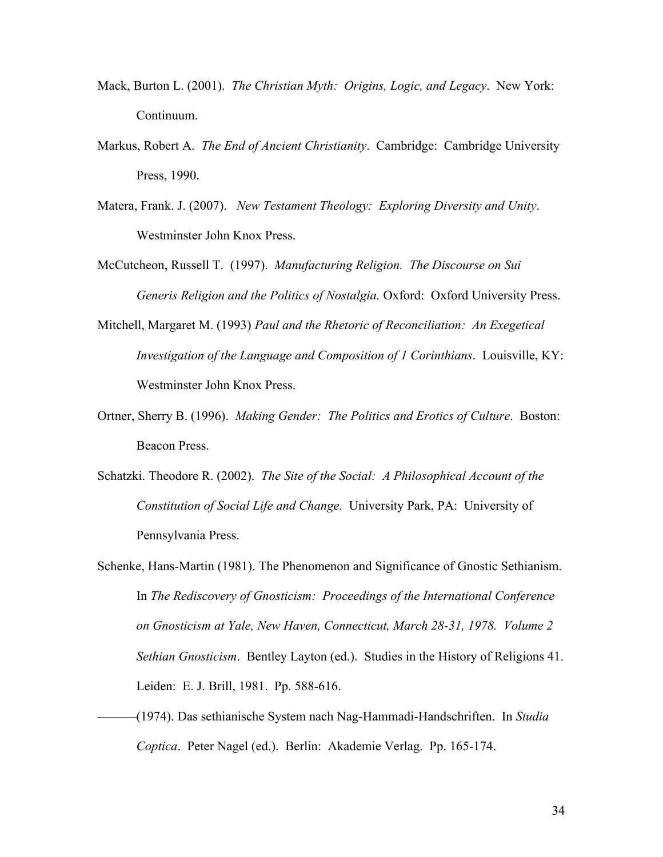- Mack, Burton L. (2001). *The Christian Myth: Origins, Logic, and Legacy*. New York: Continuum.
- Markus, Robert A. *The End of Ancient Christianity*. Cambridge: Cambridge University Press, 1990.
- Matera, Frank. J. (2007). *New Testament Theology: Exploring Diversity and Unity*. Westminster John Knox Press.
- McCutcheon, Russell T. (1997). *Manufacturing Religion. The Discourse on Sui Generis Religion and the Politics of Nostalgia.* Oxford: Oxford University Press.
- Mitchell, Margaret M. (1993) *Paul and the Rhetoric of Reconciliation: An Exegetical Investigation of the Language and Composition of 1 Corinthians*. Louisville, KY: Westminster John Knox Press.
- Ortner, Sherry B. (1996). *Making Gender: The Politics and Erotics of Culture*. Boston: Beacon Press.
- Schatzki. Theodore R. (2002). *The Site of the Social: A Philosophical Account of the Constitution of Social Life and Change.* University Park, PA: University of Pennsylvania Press.
- Schenke, Hans-Martin (1981). The Phenomenon and Significance of Gnostic Sethianism. In *The Rediscovery of Gnosticism: Proceedings of the International Conference on Gnosticism at Yale, New Haven, Connecticut, March 28-31, 1978. Volume 2 Sethian Gnosticism*. Bentley Layton (ed.). Studies in the History of Religions 41. Leiden: E. J. Brill, 1981. Pp. 588-616.
- ———(1974). Das sethianische System nach Nag-Hammadi-Handschriften. In *Studia Coptica*. Peter Nagel (ed.). Berlin: Akademie Verlag. Pp. 165-174.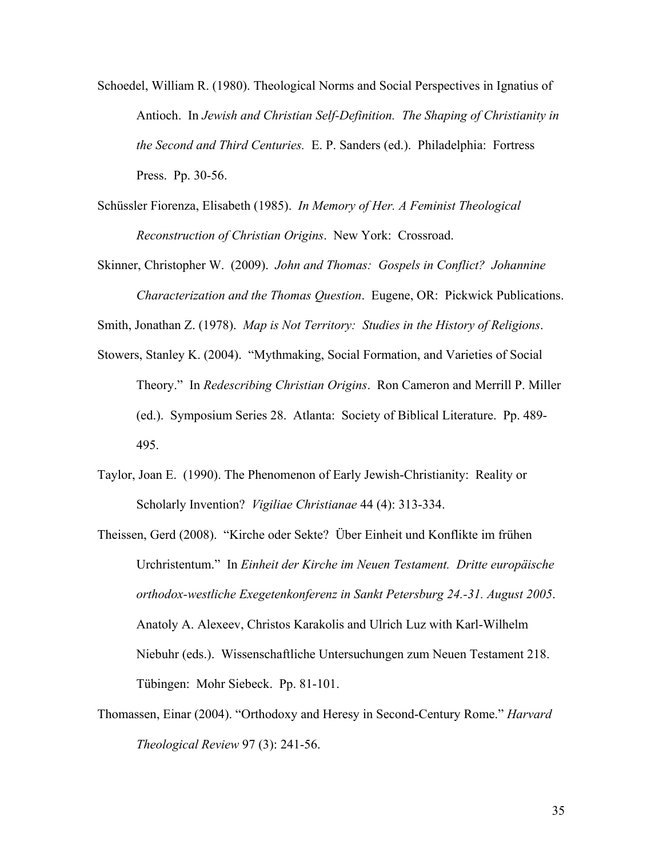- Schoedel, William R. (1980). Theological Norms and Social Perspectives in Ignatius of Antioch. In *Jewish and Christian Self-Definition. The Shaping of Christianity in the Second and Third Centuries.* E. P. Sanders (ed.). Philadelphia: Fortress Press. Pp. 30-56.
- Schüssler Fiorenza, Elisabeth (1985). *In Memory of Her. A Feminist Theological Reconstruction of Christian Origins*. New York: Crossroad.
- Skinner, Christopher W. (2009). *John and Thomas: Gospels in Conflict? Johannine Characterization and the Thomas Question*. Eugene, OR: Pickwick Publications.

Smith, Jonathan Z. (1978). *Map is Not Territory: Studies in the History of Religions*.

- Stowers, Stanley K. (2004). "Mythmaking, Social Formation, and Varieties of Social Theory." In *Redescribing Christian Origins*. Ron Cameron and Merrill P. Miller (ed.). Symposium Series 28. Atlanta: Society of Biblical Literature. Pp. 489- 495.
- Taylor, Joan E. (1990). The Phenomenon of Early Jewish-Christianity: Reality or Scholarly Invention? *Vigiliae Christianae* 44 (4): 313-334.
- Theissen, Gerd (2008). "Kirche oder Sekte? Über Einheit und Konflikte im frühen Urchristentum." In *Einheit der Kirche im Neuen Testament. Dritte europäische orthodox-westliche Exegetenkonferenz in Sankt Petersburg 24.-31. August 2005*. Anatoly A. Alexeev, Christos Karakolis and Ulrich Luz with Karl-Wilhelm Niebuhr (eds.). Wissenschaftliche Untersuchungen zum Neuen Testament 218. Tübingen: Mohr Siebeck. Pp. 81-101.
- Thomassen, Einar (2004). "Orthodoxy and Heresy in Second-Century Rome." *Harvard Theological Review* 97 (3): 241-56.